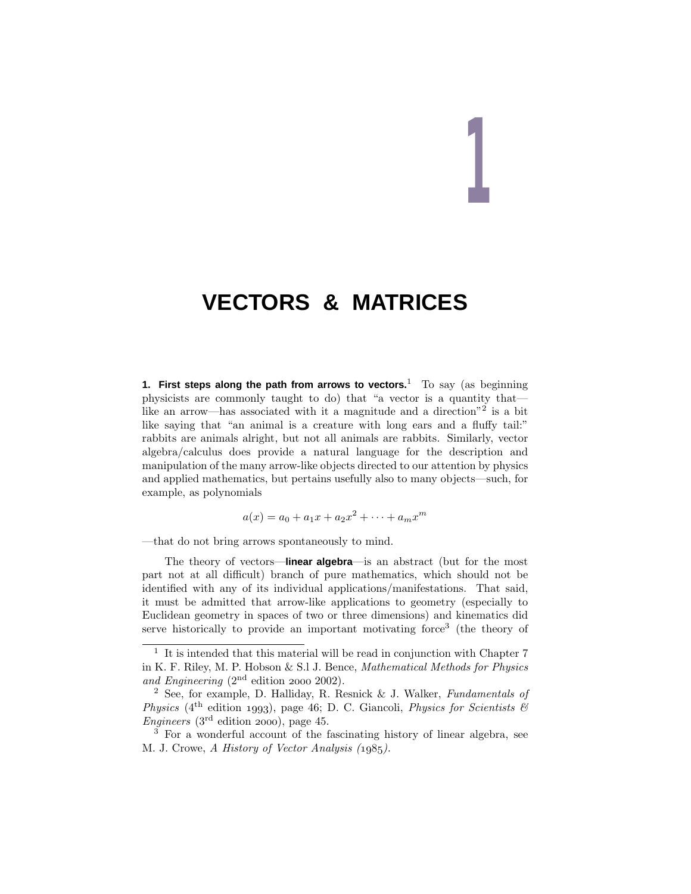# **1**

# **VECTORS & MATRICES**

**1. First steps along the path from arrows to vectors.**<sup>1</sup> To say (as beginning physicists are commonly taught to do) that "a vector is a quantity that like an arrow—has associated with it a magnitude and a direction<sup>"2</sup> is a bit like saying that "an animal is a creature with long ears and a fluffy tail:" rabbits are animals alright, but not all animals are rabbits. Similarly, vector algebra/calculus does provide a natural language for the description and manipulation of the many arrow-like objects directed to our attention by physics and applied mathematics, but pertains usefully also to many objects—such, for example, as polynomials

$$
a(x) = a_0 + a_1x + a_2x^2 + \dots + a_mx^m
$$

—that do not bring arrows spontaneously to mind.

The theory of vectors—**linear algebra**—is an abstract (but for the most part not at all difficult) branch of pure mathematics, which should not be identified with any of its individual applications/manifestations. That said, it must be admitted that arrow-like applications to geometry (especially to Euclidean geometry in spaces of two or three dimensions) and kinematics did serve historically to provide an important motivating force<sup>3</sup> (the theory of

 $1$  It is intended that this material will be read in conjunction with Chapter 7 in K. F. Riley, M. P. Hobson & S.l J. Bence, Mathematical Methods for Physics and Engineering  $(2<sup>nd</sup>$  edition 2000 2002).

<sup>&</sup>lt;sup>2</sup> See, for example, D. Halliday, R. Resnick & J. Walker, *Fundamentals of* Physics (4<sup>th</sup> edition 1993), page 46; D. C. Giancoli, Physics for Scientists  $\mathscr B$  $Engineering (3<sup>rd</sup> edition 2000), page 45.$ 

 $\tilde{3}$  For a wonderful account of the fascinating history of linear algebra, see M. J. Crowe, A History of Vector Analysis (1985).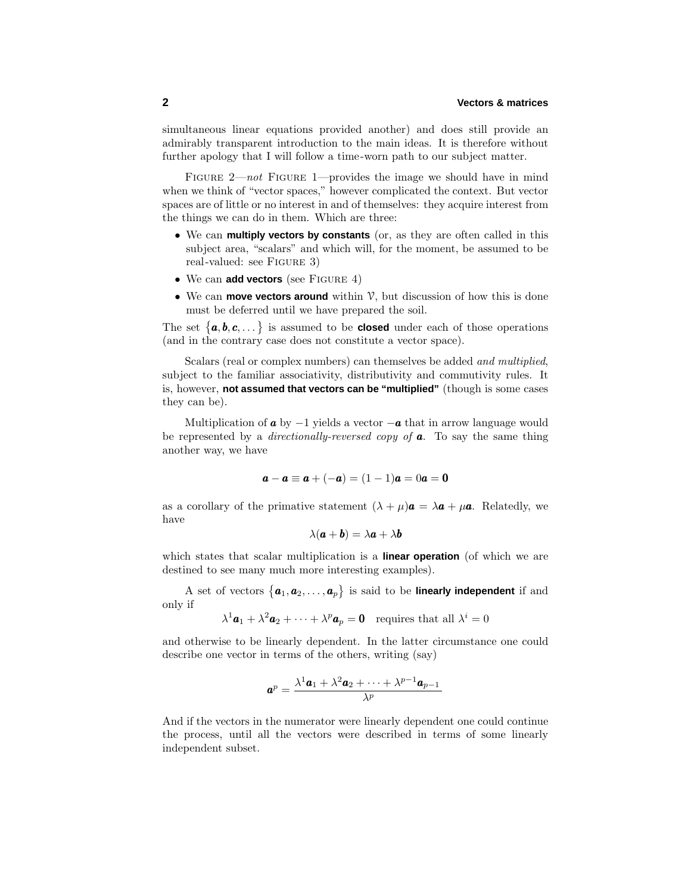# **2 Vectors & matrices**

simultaneous linear equations provided another) and does still provide an admirably transparent introduction to the main ideas. It is therefore without further apology that I will follow a time-worn path to our subject matter.

FIGURE  $2$ —not FIGURE 1—provides the image we should have in mind when we think of "vector spaces," however complicated the context. But vector spaces are of little or no interest in and of themselves: they acquire interest from the things we can do in them. Which are three:

- We can **multiply vectors by constants** (or, as they are often called in this subject area, "scalars" and which will, for the moment, be assumed to be real-valued: see FIGURE 3)
- We can **add vectors** (see FIGURE 4)
- We can **move vectors around** within V, but discussion of how this is done must be deferred until we have prepared the soil.

The set  $\{a, b, c, \dots\}$  is assumed to be **closed** under each of those operations (and in the contrary case does not constitute a vector space).

Scalars (real or complex numbers) can themselves be added and multiplied, subject to the familiar associativity, distributivity and commutivity rules. It is, however, **not assumed that vectors can be "multiplied"** (though is some cases they can be).

Multiplication of  $\boldsymbol{a}$  by  $-1$  yields a vector  $-\boldsymbol{a}$  that in arrow language would be represented by a directionally-reversed copy of *a*. To say the same thing another way, we have

$$
a - a \equiv a + (-a) = (1 - 1)a = 0a = 0
$$

as a corollary of the primative statement  $(\lambda + \mu)\mathbf{a} = \lambda \mathbf{a} + \mu \mathbf{a}$ . Relatedly, we have

$$
\lambda(\bm{a}+\bm{b})=\lambda\bm{a}+\lambda\bm{b}
$$

which states that scalar multiplication is a **linear operation** (of which we are destined to see many much more interesting examples).

A set of vectors  $\{\boldsymbol{a}_1, \boldsymbol{a}_2, \dots, \boldsymbol{a}_p\}$  is said to be **linearly independent** if and only if

 $\lambda^1$ **a**<sub>1</sub> +  $\lambda^2$ **a**<sub>2</sub> + ··· +  $\lambda^p$ **a**<sub>*p*</sub> = **0** requires that all  $\lambda^i = 0$ 

and otherwise to be linearly dependent. In the latter circumstance one could describe one vector in terms of the others, writing (say)

$$
\boldsymbol{a}^p = \frac{\lambda^1 \boldsymbol{a}_1 + \lambda^2 \boldsymbol{a}_2 + \dots + \lambda^{p-1} \boldsymbol{a}_{p-1}}{\lambda^p}
$$

And if the vectors in the numerator were linearly dependent one could continue the process, until all the vectors were described in terms of some linearly independent subset.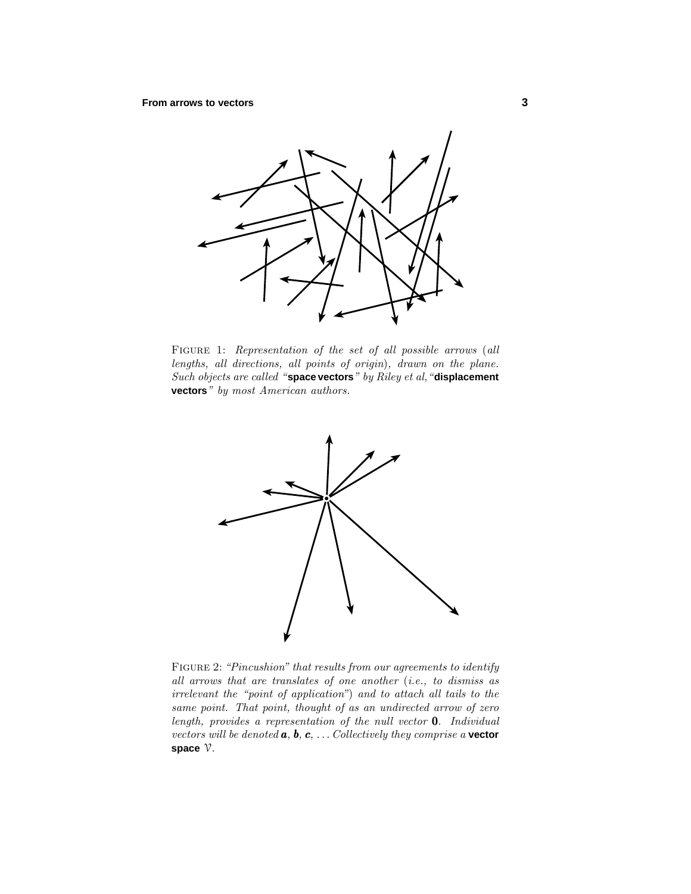

FIGURE 1: Representation of the set of all possible arrows (all lengths, all directions, all points of origin), drawn on the plane. Such objects are called "**space vectors**" by Riley et al,"**displacement vectors**" by most American authors.



FIGURE 2: "Pincushion" that results from our agreements to identify all arrows that are translates of one another (i.e., to dismiss as irrelevant the "point of application") and to attach all tails to the same point. That point, thought of as an undirected arrow of zero length, provides a representation of the null vector 0. Individual vectors will be denoted *a*, *b*, *c*, *...* Collectively they comprise a **vector space** V.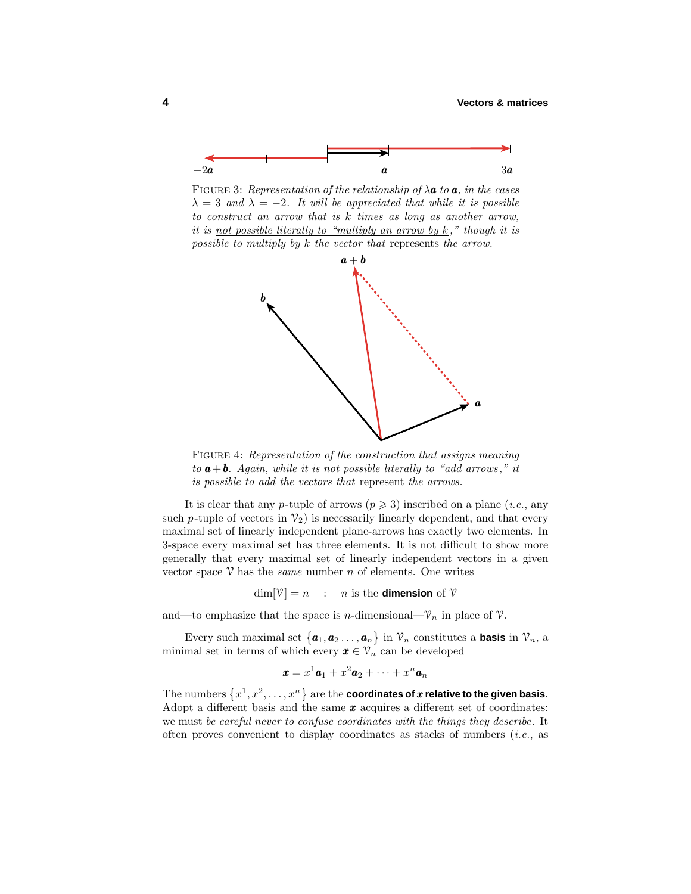

FIGURE 3: Representation of the relationship of  $\lambda \mathbf{a}$  to  $\mathbf{a}$ , in the cases  $\lambda = 3$  and  $\lambda = -2$ . It will be appreciated that while it is possible to construct an arrow that is *k* times as long as another arrow, it is <u>not possible literally to "multiply an arrow by  $k$ </u>," though it is possible to multiply by *k* the vector that represents the arrow.



FIGURE 4: Representation of the construction that assigns meaning to  $a + b$ . Again, while it is <u>not possible literally to "add arrows</u>," it is possible to add the vectors that represent the arrows.

It is clear that any *p*-tuple of arrows  $(p \geq 3)$  inscribed on a plane (*i.e.*, any such *p*-tuple of vectors in  $\mathcal{V}_2$ ) is necessarily linearly dependent, and that every maximal set of linearly independent plane-arrows has exactly two elements. In 3-space every maximal set has three elements. It is not difficult to show more generally that every maximal set of linearly independent vectors in a given vector space  $\nabla$  has the *same* number *n* of elements. One writes

 $\dim[\mathcal{V}] = n$  : *n* is the **dimension** of  $\mathcal{V}$ 

and—to emphasize that the space is *n*-dimensional— $V_n$  in place of  $V$ .

Every such maximal set  $\{a_1, a_2 \ldots, a_n\}$  in  $\mathcal{V}_n$  constitutes a **basis** in  $\mathcal{V}_n$ , a minimal set in terms of which every  $x \in \mathcal{V}_n$  can be developed

$$
\boldsymbol{x} = x^1 \boldsymbol{a}_1 + x^2 \boldsymbol{a}_2 + \cdots + x^n \boldsymbol{a}_n
$$

The numbers  $\{x^1, x^2, \ldots, x^n\}$  are the **coordinates of**  $x$  **relative to the given basis**. Adopt a different basis and the same *x* acquires a different set of coordinates: we must be careful never to confuse coordinates with the things they describe. It often proves convenient to display coordinates as stacks of numbers (i.e., as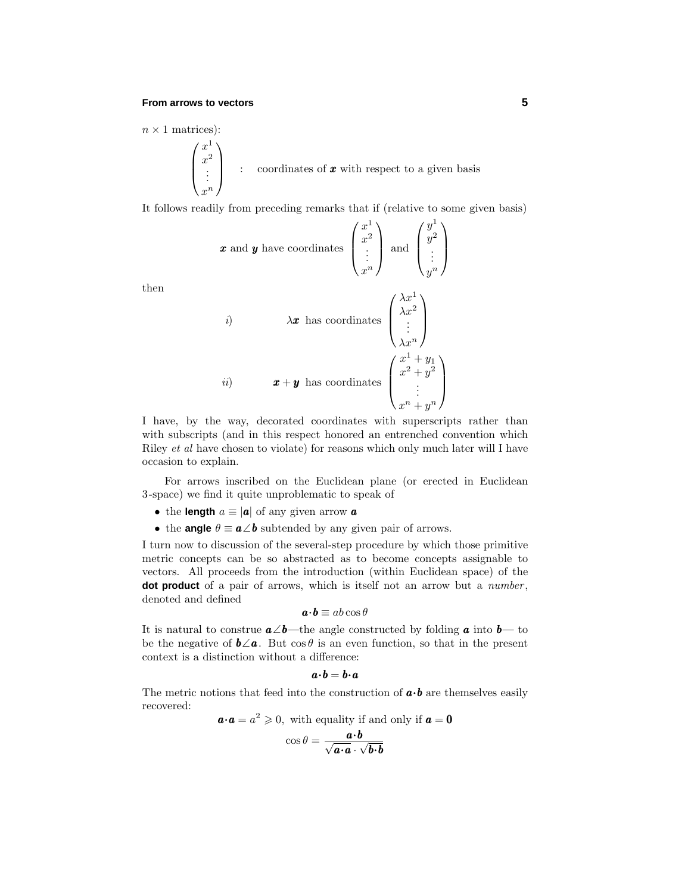#### **From arrows to vectors 5**

 $\sqrt{ }$ 

 $\overline{\phantom{a}}$ 

 $n \times 1$  matrices):

$$
\begin{pmatrix} x^1 \\ x^2 \\ \vdots \\ x^n \end{pmatrix} \quad : \quad \text{coordinates of } \boldsymbol{x} \text{ with respect to a given basis}
$$

It follows readily from preceding remarks that if (relative to some given basis)

$$
\mathbf{x} \text{ and } \mathbf{y} \text{ have coordinates } \begin{pmatrix} x^1 \\ x^2 \\ \vdots \\ x^n \end{pmatrix} \text{ and } \begin{pmatrix} y^1 \\ y^2 \\ \vdots \\ y^n \end{pmatrix}
$$

then

*i)*  
\n
$$
\lambda \mathbf{x} \text{ has coordinates } \begin{pmatrix} \lambda x^1 \\ \lambda x^2 \\ \vdots \\ \lambda x^n \end{pmatrix}
$$
\n*ii)*  
\n
$$
\mathbf{x} + \mathbf{y} \text{ has coordinates } \begin{pmatrix} x^1 + y_1 \\ x^2 + y^2 \\ \vdots \\ x^n + y^n \end{pmatrix}
$$

I have, by the way, decorated coordinates with superscripts rather than with subscripts (and in this respect honored an entrenched convention which Riley et al have chosen to violate) for reasons which only much later will I have occasion to explain.

For arrows inscribed on the Euclidean plane (or erected in Euclidean 3-space) we find it quite unproblematic to speak of

- the **length**  $a \equiv |\mathbf{a}|$  of any given arrow **a**
- the **angle**  $\theta \equiv a \angle b$  subtended by any given pair of arrows.

I turn now to discussion of the several-step procedure by which those primitive metric concepts can be so abstracted as to become concepts assignable to vectors. All proceeds from the introduction (within Euclidean space) of the **dot product** of a pair of arrows, which is itself not an arrow but a *number*, denoted and defined

$$
\boldsymbol{a\!\cdot\! b} \equiv ab\cos\theta
$$

It is natural to construe *a*∠*b*—the angle constructed by folding *a* into *b*— to be the negative of  $\mathbf{b} \angle \mathbf{a}$ . But  $\cos \theta$  is an even function, so that in the present context is a distinction without a difference:

$$
a\!\cdot\! b = b\!\cdot\! a
$$

The metric notions that feed into the construction of  $\mathbf{a} \cdot \mathbf{b}$  are themselves easily recovered:

$$
\mathbf{a} \cdot \mathbf{a} = a^2 \geqslant 0
$$
, with equality if and only if  $\mathbf{a} = \mathbf{0}$ 

$$
\cos\theta = \frac{a \cdot b}{\sqrt{a \cdot a} \cdot \sqrt{b \cdot b}}
$$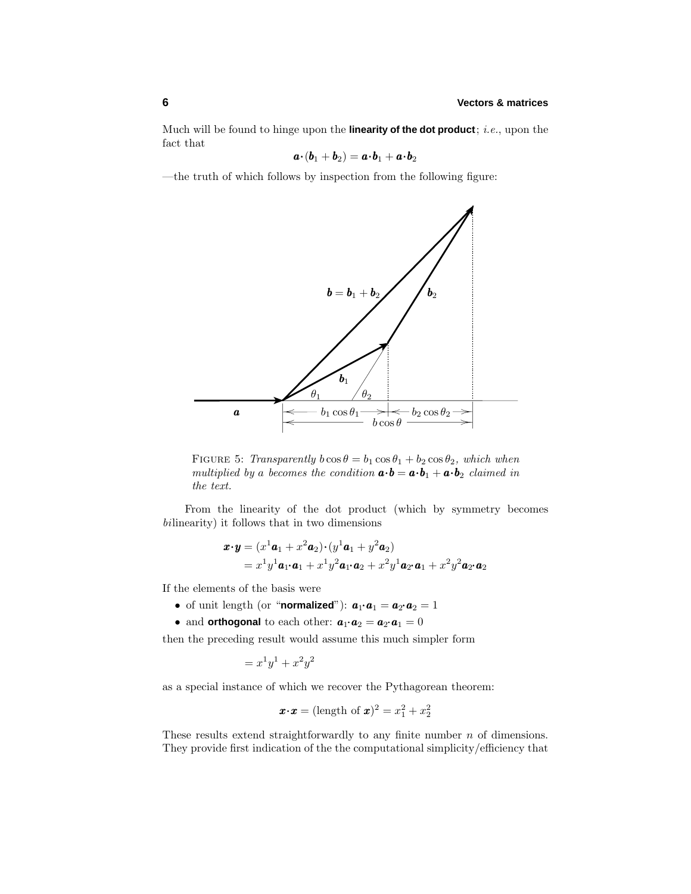Much will be found to hinge upon the **linearity of the dot product**; i.e., upon the fact that

$$
\boldsymbol{a}\!\cdot\!(\boldsymbol{b}_1+\boldsymbol{b}_2)=\boldsymbol{a}\!\cdot\!\boldsymbol{b}_1+\boldsymbol{a}\!\cdot\!\boldsymbol{b}_2
$$

—the truth of which follows by inspection from the following figure:



FIGURE 5: Transparently  $b \cos \theta = b_1 \cos \theta_1 + b_2 \cos \theta_2$ , which when multiplied by a becomes the condition  $\mathbf{a} \cdot \mathbf{b} = \mathbf{a} \cdot \mathbf{b}_1 + \mathbf{a} \cdot \mathbf{b}_2$  claimed in the text.

From the linearity of the dot product (which by symmetry becomes bilinearity) it follows that in two dimensions

$$
\begin{aligned} \boldsymbol{x} \cdot \boldsymbol{y} &= (x^1 \boldsymbol{a}_1 + x^2 \boldsymbol{a}_2) \cdot (y^1 \boldsymbol{a}_1 + y^2 \boldsymbol{a}_2) \\ &= x^1 y^1 \boldsymbol{a}_1 \cdot \boldsymbol{a}_1 + x^1 y^2 \boldsymbol{a}_1 \cdot \boldsymbol{a}_2 + x^2 y^1 \boldsymbol{a}_2 \cdot \boldsymbol{a}_1 + x^2 y^2 \boldsymbol{a}_2 \cdot \boldsymbol{a}_2 \end{aligned}
$$

If the elements of the basis were

- of unit length (or "**normalized**"):  $a_1 \cdot a_1 = a_2 \cdot a_2 = 1$
- and **orthogonal** to each other:  $a_1 \cdot a_2 = a_2 \cdot a_1 = 0$

then the preceding result would assume this much simpler form

$$
= x^1 y^1 + x^2 y^2
$$

as a special instance of which we recover the Pythagorean theorem:

$$
\mathbf{x} \cdot \mathbf{x} = (\text{length of } \mathbf{x})^2 = x_1^2 + x_2^2
$$

These results extend straightforwardly to any finite number *n* of dimensions. They provide first indication of the the computational simplicity/efficiency that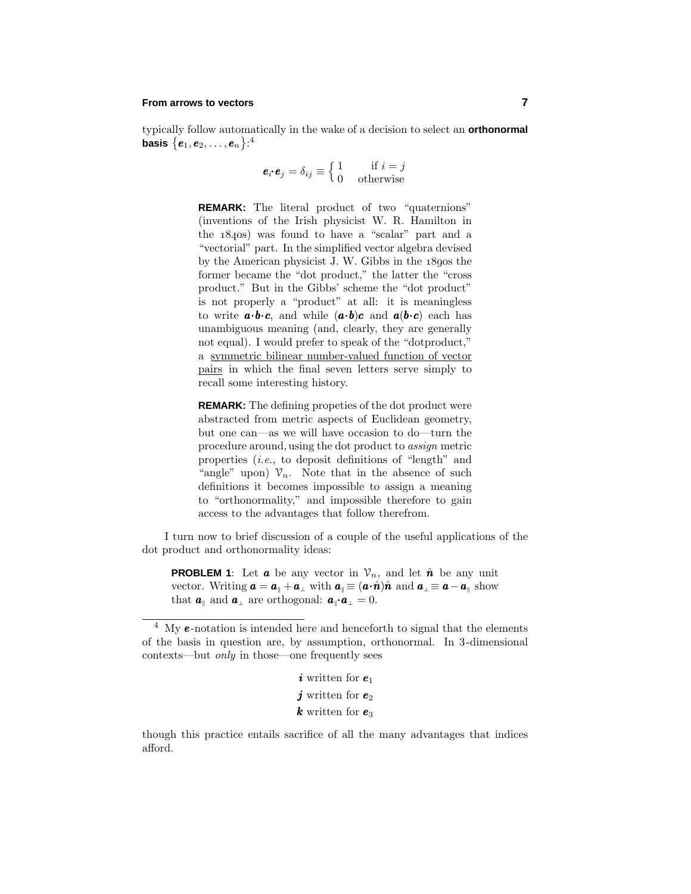# **From arrows to vectors 7**

typically follow automatically in the wake of a decision to select an **orthonormal** basis  $\left\{ \boldsymbol{e}_{1},\boldsymbol{e}_{2},\ldots,\boldsymbol{e}_{n}\right\}$ : $^{4}$ 

$$
\mathbf{e}_i \cdot \mathbf{e}_j = \delta_{ij} \equiv \begin{cases} 1 & \text{if } i = j \\ 0 & \text{otherwise} \end{cases}
$$

**REMARK:** The literal product of two "quaternions" (inventions of the Irish physicist W. R. Hamilton in the  $1840s$ ) was found to have a "scalar" part and a "vectorial" part. In the simplified vector algebra devised by the American physicist J. W. Gibbs in the  $18$ gos the former became the "dot product," the latter the "cross product." But in the Gibbs' scheme the "dot product" is not properly a "product" at all: it is meaningless to write  $\mathbf{a} \cdot \mathbf{b} \cdot \mathbf{c}$ , and while  $(\mathbf{a} \cdot \mathbf{b})\mathbf{c}$  and  $\mathbf{a}(\mathbf{b} \cdot \mathbf{c})$  each has unambiguous meaning (and, clearly, they are generally not equal). I would prefer to speak of the "dotproduct," a symmetric bilinear number-valued function of vector pairs in which the final seven letters serve simply to recall some interesting history.

**REMARK:** The defining propeties of the dot product were abstracted from metric aspects of Euclidean geometry, but one can—as we will have occasion to do—turn the procedure around,using the dot product to assign metric properties (i.e., to deposit definitions of "length" and "angle" upon)  $\mathcal{V}_n$ . Note that in the absence of such definitions it becomes impossible to assign a meaning to "orthonormality," and impossible therefore to gain access to the advantages that follow therefrom.

I turn now to brief discussion of a couple of the useful applications of the dot product and orthonormality ideas:

**PROBLEM 1**: Let **a** be any vector in  $V_n$ , and let  $\hat{\boldsymbol{n}}$  be any unit vector. Writing  $\mathbf{a} = \mathbf{a}_{\parallel} + \mathbf{a}_{\perp}$  with  $\mathbf{a}_{\parallel} \equiv (\mathbf{a} \cdot \hat{\mathbf{n}}) \hat{\mathbf{n}}$  and  $\mathbf{a}_{\perp} \equiv \mathbf{a} - \mathbf{a}_{\parallel}$  show that  $a_{\parallel}$  and  $a_{\perp}$  are orthogonal:  $a_{\parallel} \cdot a_{\perp} = 0$ .

<sup>&</sup>lt;sup>4</sup> My **e**-notation is intended here and henceforth to signal that the elements of the basis in question are, by assumption, orthonormal. In 3-dimensional contexts—but only in those—one frequently sees

| <i>i</i> written for $e_1$ |  |
|----------------------------|--|
| j written for $e_2$        |  |
| <b>k</b> written for $e_3$ |  |

though this practice entails sacrifice of all the many advantages that indices afford.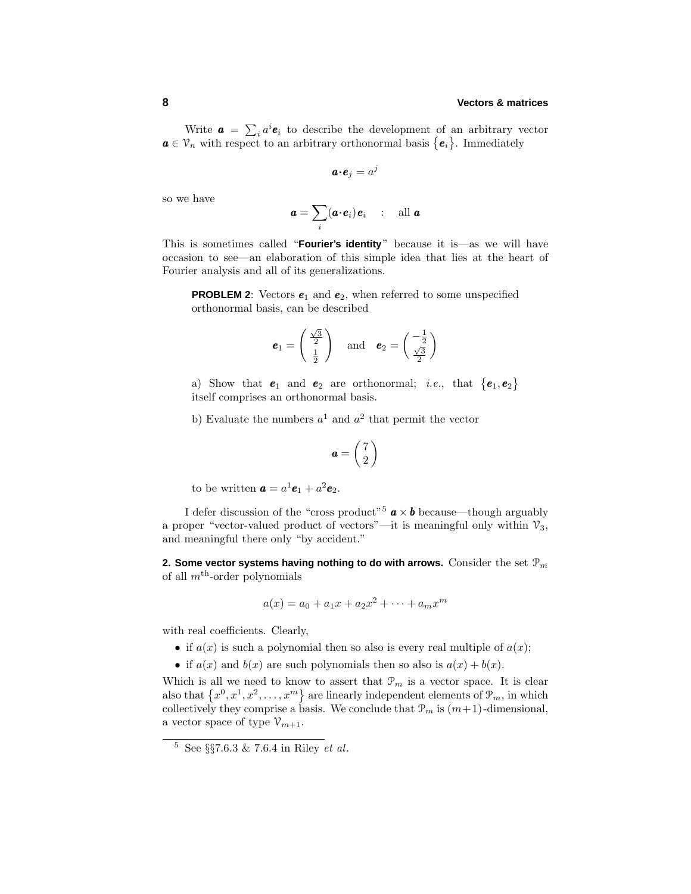# **8 Vectors & matrices**

Write  $\boldsymbol{a} = \sum_i a^i \boldsymbol{e}_i$  to describe the development of an arbitrary vector  $a \in V_n$  with respect to an arbitrary orthonormal basis  ${e_i}$ . Immediately

$$
\boldsymbol{a}\!\cdot\!\boldsymbol{e}_j=a^j
$$

so we have

$$
\boldsymbol{a} = \sum_i (\boldsymbol{a} \boldsymbol{\cdot} \boldsymbol{e}_i) \boldsymbol{e}_i \quad : \quad \text{all } \boldsymbol{a}
$$

This is sometimes called "**Fourier's identity**" because it is—as we will have occasion to see—an elaboration of this simple idea that lies at the heart of Fourier analysis and all of its generalizations.

**PROBLEM 2**: Vectors  $e_1$  and  $e_2$ , when referred to some unspecified orthonormal basis, can be described

$$
\boldsymbol{e}_1 = \begin{pmatrix} \frac{\sqrt{3}}{2} \\ \frac{1}{2} \end{pmatrix} \quad \text{and} \quad \boldsymbol{e}_2 = \begin{pmatrix} -\frac{1}{2} \\ \frac{\sqrt{3}}{2} \end{pmatrix}
$$

a) Show that  $e_1$  and  $e_2$  are orthonormal; *i.e.*, that  $\{e_1, e_2\}$ itself comprises an orthonormal basis.

b) Evaluate the numbers  $a^1$  and  $a^2$  that permit the vector

$$
\boldsymbol{a} = \begin{pmatrix} 7 \\ 2 \end{pmatrix}
$$

to be written  $\mathbf{a} = a^1 \mathbf{e}_1 + a^2 \mathbf{e}_2$ .

I defer discussion of the "cross product"<sup>5</sup>  $\boldsymbol{a} \times \boldsymbol{b}$  because—though arguably a proper "vector-valued product of vectors"—it is meaningful only within  $\mathcal{V}_3$ , and meaningful there only "by accident."

**2. Some vector systems having nothing to do with arrows.** Consider the set P*<sup>m</sup>* of all  $m<sup>th</sup>$ -order polynomials

$$
a(x) = a_0 + a_1x + a_2x^2 + \dots + a_mx^m
$$

with real coefficients. Clearly,

- if  $a(x)$  is such a polynomial then so also is every real multiple of  $a(x)$ ;
- if  $a(x)$  and  $b(x)$  are such polynomials then so also is  $a(x) + b(x)$ .

Which is all we need to know to assert that  $\mathcal{P}_m$  is a vector space. It is clear also that  $\{x^0, x^1, x^2, \ldots, x^m\}$  are linearly independent elements of  $\mathcal{P}_m$ , in which collectively they comprise a basis. We conclude that  $\mathcal{P}_m$  is  $(m+1)$ -dimensional, a vector space of type  $\mathcal{V}_{m+1}$ .

 $5 \text{ See } \S \S 7.6.3 \& 7.6.4 \text{ in Riley } et \text{ al.}$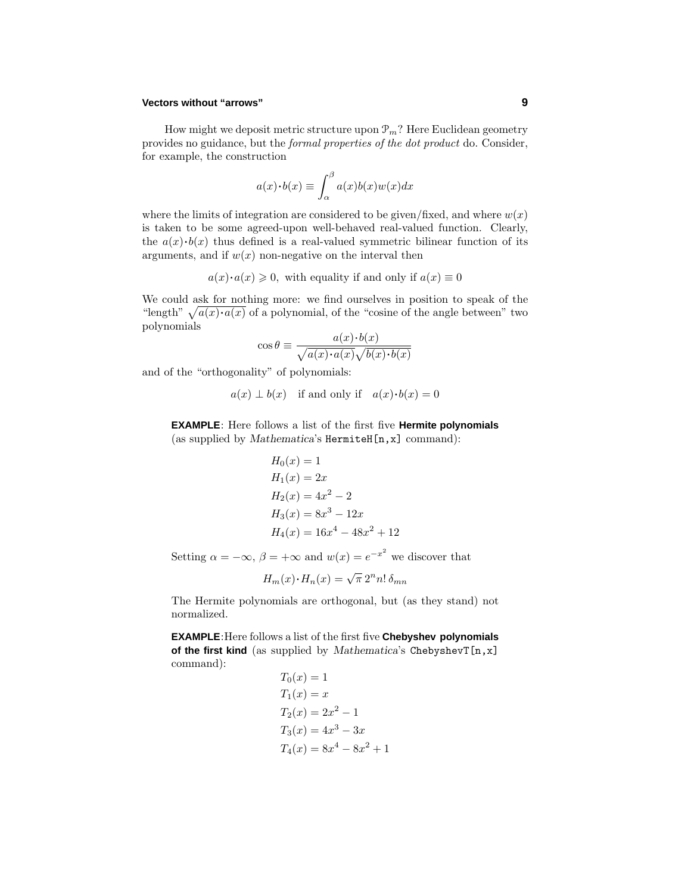# **Vectors without "arrows" 9**

How might we deposit metric structure upon  $\mathcal{P}_m$ ? Here Euclidean geometry provides no guidance, but the formal properties of the dot product do. Consider, for example, the construction

$$
a(x)\cdot b(x) \equiv \int_{\alpha}^{\beta} a(x)b(x)w(x)dx
$$

where the limits of integration are considered to be given/fixed, and where  $w(x)$ is taken to be some agreed-upon well-behaved real-valued function. Clearly, the  $a(x) \cdot b(x)$  thus defined is a real-valued symmetric bilinear function of its arguments, and if  $w(x)$  non-negative on the interval then

 $a(x) \cdot a(x) \geq 0$ , with equality if and only if  $a(x) \equiv 0$ 

We could ask for nothing more: we find ourselves in position to speak of the "length"  $\sqrt{a(x)} \cdot a(x)$  of a polynomial, of the "cosine of the angle between" two polynomials

$$
\cos \theta \equiv \frac{a(x) \cdot b(x)}{\sqrt{a(x) \cdot a(x)} \sqrt{b(x) \cdot b(x)}}
$$

and of the "orthogonality" of polynomials:

$$
a(x) \perp b(x)
$$
 if and only if  $a(x) \cdot b(x) = 0$ 

**EXAMPLE**: Here follows a list of the first five **Hermite polynomials** (as supplied by *Mathematica*'s HermiteH[n,x] command):

$$
H_0(x) = 1
$$
  
\n
$$
H_1(x) = 2x
$$
  
\n
$$
H_2(x) = 4x^2 - 2
$$
  
\n
$$
H_3(x) = 8x^3 - 12x
$$
  
\n
$$
H_4(x) = 16x^4 - 48x^2 + 12
$$

Setting  $\alpha = -\infty$ ,  $\beta = +\infty$  and  $w(x) = e^{-x^2}$  we discover that

$$
H_m(x) \cdot H_n(x) = \sqrt{\pi} 2^n n! \, \delta_{mn}
$$

The Hermite polynomials are orthogonal, but (as they stand) not normalized.

**EXAMPLE**:Here follows a list of the first five **Chebyshev polynomials of the first kind** (as supplied by *Mathematica*'s ChebyshevT[n,x] command):

$$
T_0(x) = 1
$$
  
\n
$$
T_1(x) = x
$$
  
\n
$$
T_2(x) = 2x^2 - 1
$$
  
\n
$$
T_3(x) = 4x^3 - 3x
$$
  
\n
$$
T_4(x) = 8x^4 - 8x^2 + 1
$$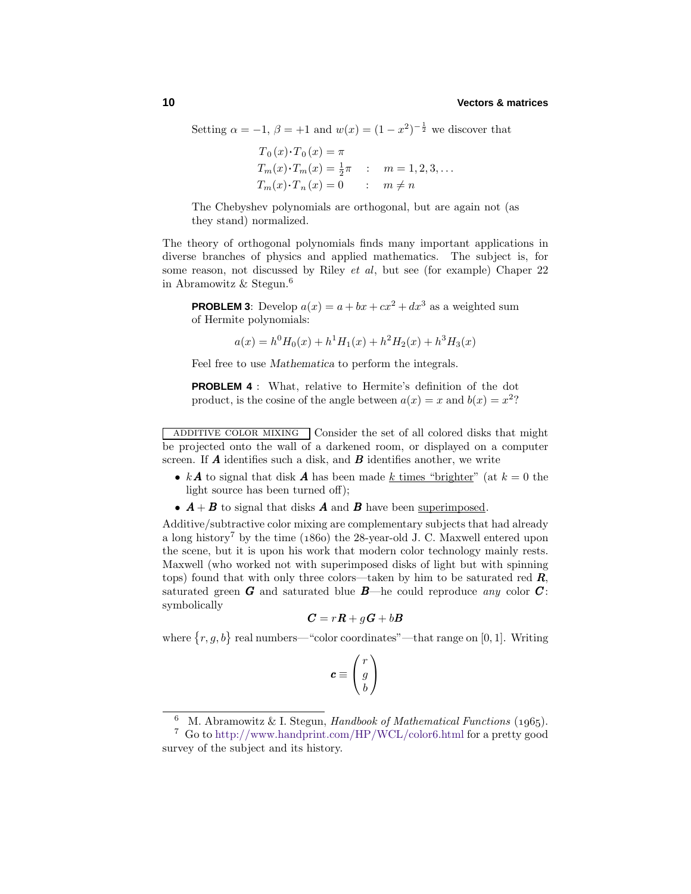Setting  $\alpha = -1$ ,  $\beta = +1$  and  $w(x) = (1 - x^2)^{-\frac{1}{2}}$  we discover that

$$
T_0(x) \cdot T_0(x) = \pi
$$
  
\n
$$
T_m(x) \cdot T_m(x) = \frac{1}{2}\pi
$$
 :  $m = 1, 2, 3, ...$   
\n
$$
T_m(x) \cdot T_n(x) = 0
$$
 :  $m \neq n$ 

The Chebyshev polynomials are orthogonal, but are again not (as they stand) normalized.

The theory of orthogonal polynomials finds many important applications in diverse branches of physics and applied mathematics. The subject is, for some reason, not discussed by Riley et al, but see (for example) Chaper 22 in Abramowitz & Stegun.<sup>6</sup>

**PROBLEM 3**: Develop  $a(x) = a + bx + cx^2 + dx^3$  as a weighted sum of Hermite polynomials:

$$
a(x) = h^0 H_0(x) + h^1 H_1(x) + h^2 H_2(x) + h^3 H_3(x)
$$

Feel free to use *Mathematica* to perform the integrals.

**PROBLEM 4** : What, relative to Hermite's definition of the dot product, is the cosine of the angle between  $a(x) = x$  and  $b(x) = x^2$ ?

ADDITIVE COLOR MIXING Consider the set of all colored disks that might be projected onto the wall of a darkened room, or displayed on a computer screen. If *A* identifies such a disk, and *B* identifies another, we write

- $k\mathbf{A}$  to signal that disk  $\mathbf{A}$  has been made  $k$  times "brighter" (at  $k = 0$  the light source has been turned off);
- $A + B$  to signal that disks *A* and *B* have been <u>superimposed</u>.

Additive/subtractive color mixing are complementary subjects that had already a long history<sup>7</sup> by the time ( $1860$ ) the 28-year-old J. C. Maxwell entered upon the scene, but it is upon his work that modern color technology mainly rests. Maxwell (who worked not with superimposed disks of light but with spinning tops) found that with only three colors—taken by him to be saturated red *R*, saturated green *G* and saturated blue  $B$ —he could reproduce any color  $C$ : symbolically

$$
\boldsymbol{C}=r\boldsymbol{R}+g\boldsymbol{G}+b\boldsymbol{B}
$$

where  $\{r, g, b\}$  real numbers—"color coordinates"—that range on [0, 1]. Writing

$$
\boldsymbol{c} \equiv \begin{pmatrix} r \\ g \\ b \end{pmatrix}
$$

M. Abramowitz & I. Stegun, Handbook of Mathematical Functions (1965).

<sup>7</sup> Go to http://www.handprint.com/HP/WCL/color6.html for a pretty good survey of the subject and its history.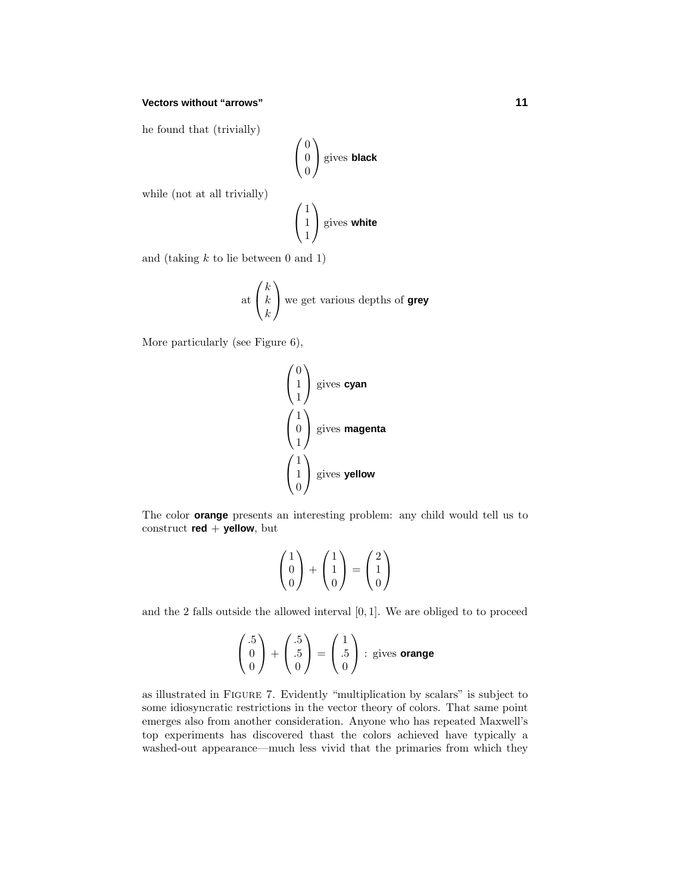# **Vectors without "arrows" 11**

he found that (trivially)

$$
\begin{pmatrix} 0 \\ 0 \\ 0 \end{pmatrix}
$$
 gives **black**

while (not at all trivially)

$$
\begin{pmatrix} 1 \\ 1 \\ 1 \end{pmatrix}
$$
 gives **white**

and (taking *k* to lie between 0 and 1)

at 
$$
\begin{pmatrix} k \\ k \end{pmatrix}
$$
 we get various depths of **grey**

More particularly (see Figure 6),

$$
\begin{pmatrix} 0 \\ 1 \\ 1 \end{pmatrix}
$$
 gives **cyan**  

$$
\begin{pmatrix} 1 \\ 0 \\ 1 \end{pmatrix}
$$
 gives **magenta**  

$$
\begin{pmatrix} 1 \\ 1 \\ 0 \end{pmatrix}
$$
 gives **yellow**

The color **orange** presents an interesting problem: any child would tell us to construct **red** + **yellow**, but

$$
\begin{pmatrix} 1 \\ 0 \\ 0 \end{pmatrix} + \begin{pmatrix} 1 \\ 1 \\ 0 \end{pmatrix} = \begin{pmatrix} 2 \\ 1 \\ 0 \end{pmatrix}
$$

and the 2 falls outside the allowed interval [0*,* 1]. We are obliged to to proceed

$$
\begin{pmatrix} .5 \\ 0 \\ 0 \end{pmatrix} + \begin{pmatrix} .5 \\ .5 \\ 0 \end{pmatrix} = \begin{pmatrix} 1 \\ .5 \\ 0 \end{pmatrix} : \text{gives orange}
$$

as illustrated in Figure 7. Evidently "multiplication by scalars" is subject to some idiosyncratic restrictions in the vector theory of colors. That same point emerges also from another consideration. Anyone who has repeated Maxwell's top experiments has discovered thast the colors achieved have typically a washed-out appearance—much less vivid that the primaries from which they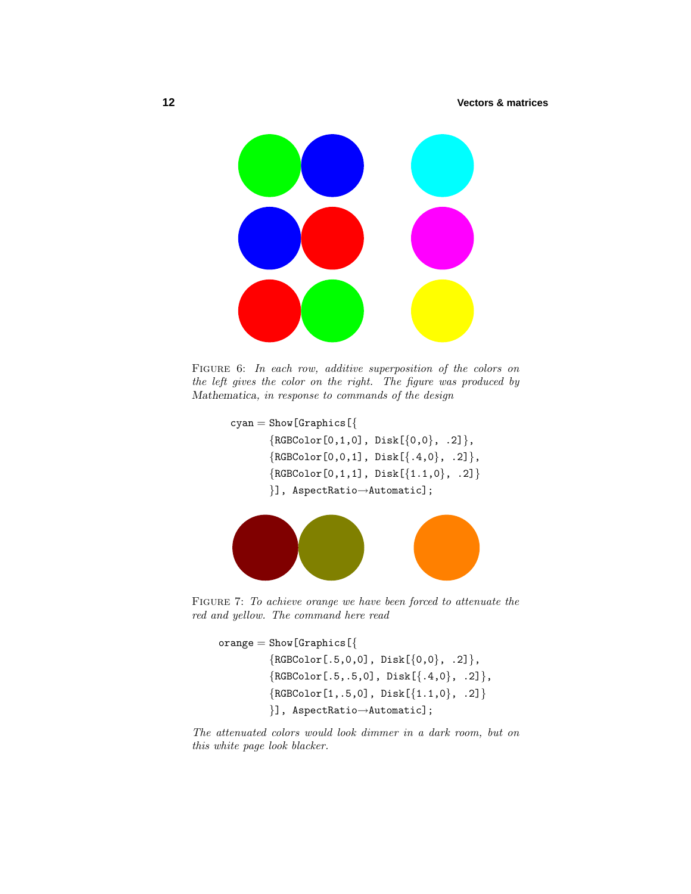# **12 Vectors & matrices**



FIGURE 6: In each row, additive superposition of the colors on the left gives the color on the right. The figure was produced by *Mathematica*, in response to commands of the design

```
cyan = Show [Graphics [\{{RGEColor[0,1,0], Disk[\{0,0\}, .2]},{RGEColor[0,0,1], Disk[{+.4,0}, .2]},{RGEColor[0,1,1], Disk[{1.1,0}, .2]}}], AspectRatio→Automatic];
```


FIGURE 7: To achieve orange we have been forced to attenuate the red and yellow. The command here read

```
orange = Show [Graphics [\{{RGEcolor[.5,0,0], Disk[{0,0}, .2]},{RGEColor[.5,.5,0], Disk[{+.4,0}, .2]},{RGEColor[1,.5,0], Disk[\{1.1,0\}, .2]}}], AspectRatio→Automatic];
```
The attenuated colors would look dimmer in a dark room, but on this white page look blacker.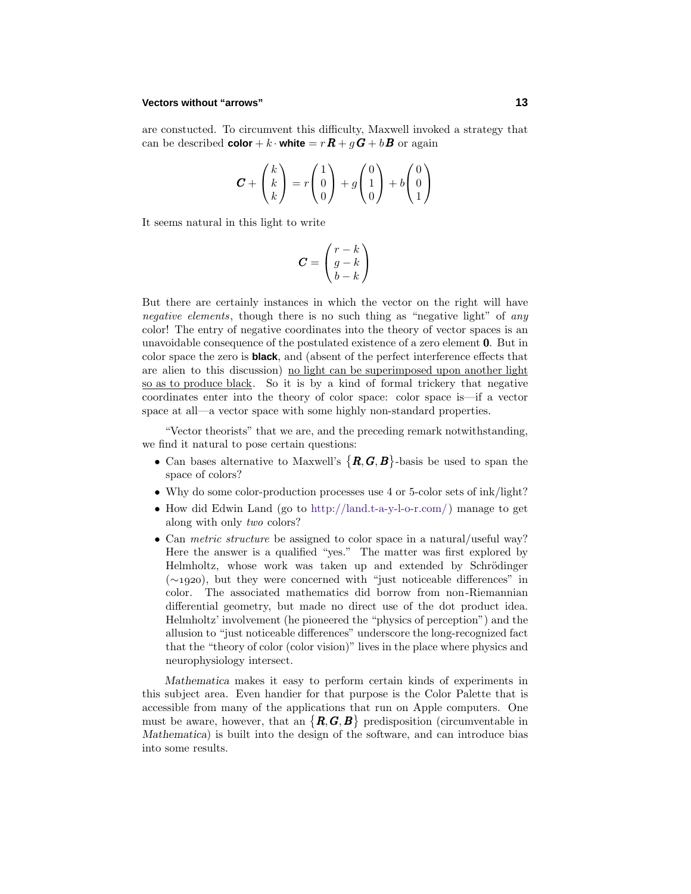#### **Vectors without "arrows" 13**

are constucted. To circumvent this difficulty, Maxwell invoked a strategy that can be described **color** + *k* · **white** =  $rR + gG + bB$  or again

$$
\boldsymbol{C} + \begin{pmatrix} k \\ k \\ k \end{pmatrix} = r \begin{pmatrix} 1 \\ 0 \\ 0 \end{pmatrix} + g \begin{pmatrix} 0 \\ 1 \\ 0 \end{pmatrix} + b \begin{pmatrix} 0 \\ 0 \\ 1 \end{pmatrix}
$$

It seems natural in this light to write

$$
\boldsymbol{C} = \begin{pmatrix} r-k \\ g-k \\ b-k \end{pmatrix}
$$

But there are certainly instances in which the vector on the right will have negative elements, though there is no such thing as "negative light" of any color! The entry of negative coordinates into the theory of vector spaces is an unavoidable consequence of the postulated existence of a zero element 0. But in color space the zero is **black**, and (absent of the perfect interference effects that are alien to this discussion) no light can be superimposed upon another light so as to produce black. So it is by a kind of formal trickery that negative coordinates enter into the theory of color space: color space is—if a vector space at all—a vector space with some highly non-standard properties.

"Vector theorists" that we are, and the preceding remark notwithstanding, we find it natural to pose certain questions:

- Can bases alternative to Maxwell's  $\{R, G, B\}$ -basis be used to span the space of colors?
- Why do some color-production processes use 4 or 5-color sets of  $ink/light?$
- How did Edwin Land (go to http://land.t-a-y-l-o-r.com/) manage to get along with only two colors?
- Can *metric structure* be assigned to color space in a natural/useful way? Here the answer is a qualified "yes." The matter was first explored by Helmholtz, whose work was taken up and extended by Schrödinger  $(\sim 1920)$ , but they were concerned with "just noticeable differences" in color. The associated mathematics did borrow from non-Riemannian differential geometry, but made no direct use of the dot product idea. Helmholtz' involvement (he pioneered the "physics of perception") and the allusion to "just noticeable differences" underscore the long-recognized fact that the "theory of color (color vision)" lives in the place where physics and neurophysiology intersect.

*Mathematica* makes it easy to perform certain kinds of experiments in this subject area. Even handier for that purpose is the Color Palette that is accessible from many of the applications that run on Apple computers. One must be aware, however, that an  $\{R, G, B\}$  predisposition (circumventable in *Mathematica*) is built into the design of the software, and can introduce bias into some results.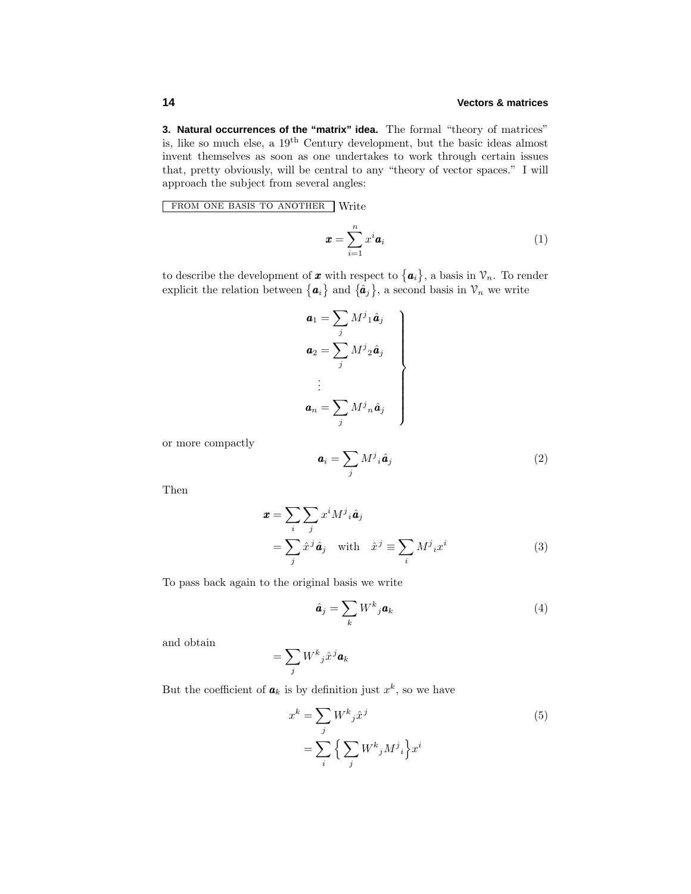**3. Natural occurrences of the "matrix" idea.** The formal "theory of matrices" is, like so much else, a 19th Century development, but the basic ideas almost invent themselves as soon as one undertakes to work through certain issues that, pretty obviously, will be central to any "theory of vector spaces." Iwill approach the subject from several angles:

FROM ONE BASIS TO ANOTHER Write

$$
\boldsymbol{x} = \sum_{i=1}^{n} x^i \boldsymbol{a}_i \tag{1}
$$

to describe the development of **x** with respect to  ${a_i}$ , a basis in  $\mathcal{V}_n$ . To render explicit the relation between  $\{a_i\}$  and  $\{\hat{a}_j\}$ , a second basis in  $\mathcal{V}_n$  we write

$$
\begin{aligned}\n\mathbf{a}_1 &= \sum_j M^j{}_1 \hat{\mathbf{a}}_j \\
\mathbf{a}_2 &= \sum_j M^j{}_2 \hat{\mathbf{a}}_j \\
&\vdots \\
\mathbf{a}_n &= \sum_j M^j{}_n \hat{\mathbf{a}}_j\n\end{aligned}
$$

or more compactly

$$
\mathbf{a}_i = \sum_j M^j{}_i \hat{\mathbf{a}}_j \tag{2}
$$

Then

$$
\mathbf{x} = \sum_{i} \sum_{j} x^{i} M^{j}{}_{i} \hat{\mathbf{a}}_{j}
$$
  
=  $\sum_{j} \hat{x}^{j} \hat{\mathbf{a}}_{j} \quad \text{with} \quad \hat{x}^{j} \equiv \sum_{i} M^{j}{}_{i} x^{i}$  (3)

To pass back again to the original basis we write

$$
\hat{\boldsymbol{a}}_j = \sum_k W^k{}_j \boldsymbol{a}_k \tag{4}
$$

and obtain

$$
= \sum_j W^k{}_j \hat{x}^j \pmb{a}_k
$$

But the coefficient of  $a_k$  is by definition just  $x^k$ , so we have

$$
x^{k} = \sum_{j} W^{k}{}_{j} \hat{x}^{j}
$$
  
= 
$$
\sum_{i} \left\{ \sum_{j} W^{k}{}_{j} M^{j}{}_{i} \right\} x^{i}
$$
 (5)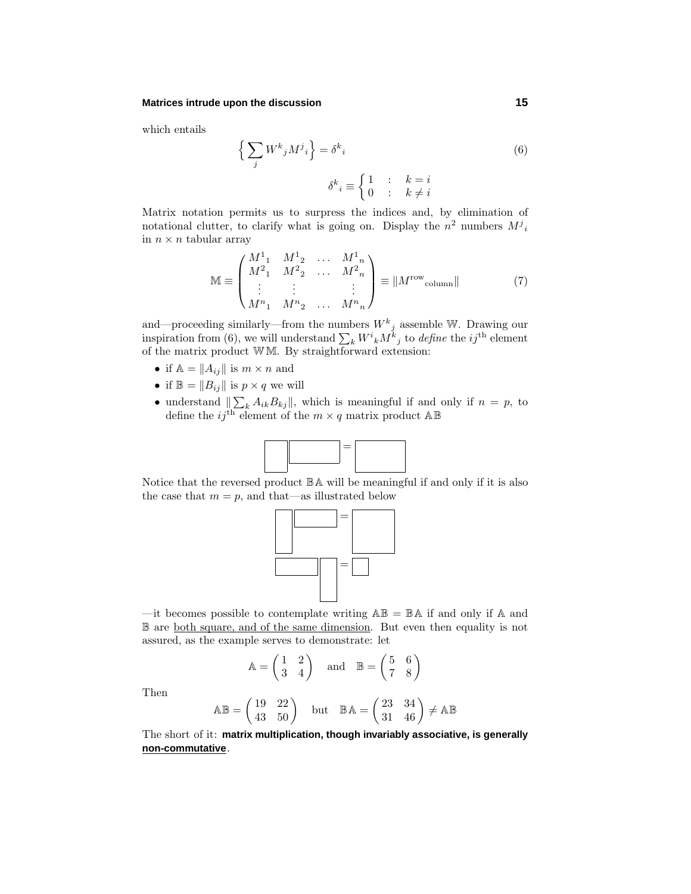#### **Matrices intrude upon the discussion 15**

which entails

$$
\left\{\sum_{j} W^{k}{}_{j} M^{j}{}_{i}\right\} = \delta^{k}{}_{i}
$$
\n
$$
\delta^{k}{}_{i} \equiv \begin{cases} 1 & \text{if } k = i \\ 0 & \text{if } k \neq i \end{cases}
$$
\n(6)

Matrix notation permits us to surpress the indices and, by elimination of notational clutter, to clarify what is going on. Display the  $n^2$  numbers  $M^j{}_i$ in  $n \times n$  tabular array

$$
\mathbb{M} \equiv \begin{pmatrix} M^1{}_1 & M^1{}_2 & \dots & M^1{}_n \\ M^2{}_1 & M^2{}_2 & \dots & M^2{}_n \\ \vdots & \vdots & & \vdots \\ M^n{}_1 & M^n{}_2 & \dots & M^n{}_n \end{pmatrix} \equiv \| M^{\text{row}}_{\text{column}} \| \tag{7}
$$

and—proceeding similarly—from the numbers  $W^k{}_j$  assemble W. Drawing our inspiration from (6), we will understand  $\sum_{k} W^{i}{}_{k} M^{k}{}_{j}$  to *define* the *ij*<sup>th</sup> element of the matrix product W M. By straightforward extension:

- if  $\mathbb{A} = ||A_{ij}||$  is  $m \times n$  and
- if  $\mathbb{B} = ||B_{ij}||$  is  $p \times q$  we will
- understand  $\sum_{k} A_{ik} B_{kj}$ , which is meaningful if and only if  $n = p$ , to define the  $ij^{\text{th}}$  element of the  $m \times q$  matrix product  $\mathbb{AB}$



Notice that the reversed product BA will be meaningful if and only if it is also the case that  $m = p$ , and that—as illustrated below



—it becomes possible to contemplate writing  $\mathbb{AB} = \mathbb{BA}$  if and only if  $\mathbb A$  and B are both square, and of the same dimension. But even then equality is not assured, as the example serves to demonstrate: let

$$
\mathbb{A} = \begin{pmatrix} 1 & 2 \\ 3 & 4 \end{pmatrix} \quad \text{and} \quad \mathbb{B} = \begin{pmatrix} 5 & 6 \\ 7 & 8 \end{pmatrix}
$$

Then

$$
\mathbb{AB} = \begin{pmatrix} 19 & 22 \\ 43 & 50 \end{pmatrix} \quad \text{but} \quad \mathbb{BA} = \begin{pmatrix} 23 & 34 \\ 31 & 46 \end{pmatrix} \neq \mathbb{AB}
$$

The short of it: **matrix multiplication, though invariably associative, is generally non-commutative**.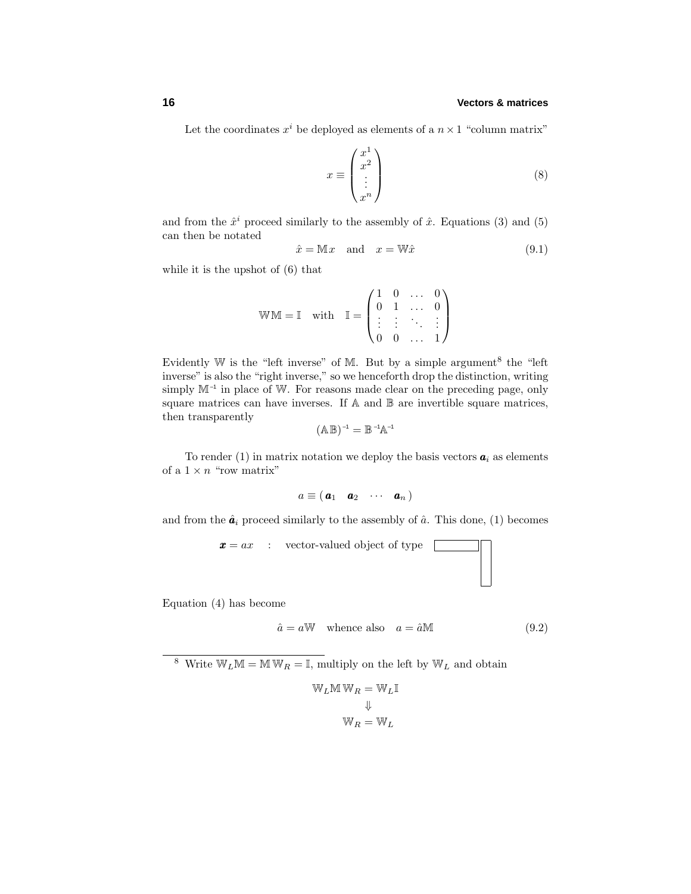# **16 Vectors & matrices**

Let the coordinates  $x^i$  be deployed as elements of a  $n \times 1$  "column matrix"

$$
x \equiv \begin{pmatrix} x^1 \\ x^2 \\ \vdots \\ x^n \end{pmatrix} \tag{8}
$$

and from the  $\hat{x}^i$  proceed similarly to the assembly of  $\hat{x}$ . Equations (3) and (5) can then be notated

$$
\hat{x} = \mathbb{M}x \quad \text{and} \quad x = \mathbb{W}\hat{x} \tag{9.1}
$$

while it is the upshot of (6) that

$$
\mathbb{W}\mathbb{M} = \mathbb{I} \quad \text{with} \quad \mathbb{I} = \begin{pmatrix} 1 & 0 & \dots & 0 \\ 0 & 1 & \dots & 0 \\ \vdots & \vdots & \ddots & \vdots \\ 0 & 0 & \dots & 1 \end{pmatrix}
$$

Evidently W is the "left inverse" of M. But by a simple argument<sup>8</sup> the "left" inverse" is also the "right inverse," so we henceforth drop the distinction, writing simply  $M^{-1}$  in place of W. For reasons made clear on the preceding page, only square matrices can have inverses. If A and B are invertible square matrices, then transparently

$$
(\mathbb{A}\,\mathbb{B})^{-1}=\mathbb{B}\,{}^{-1}\mathbb{A}^{-1}
$$

To render (1) in matrix notation we deploy the basis vectors  $a_i$  as elements of a  $1 \times n$  "row matrix"

$$
a \equiv (\mathbf{a}_1 \quad \mathbf{a}_2 \quad \cdots \quad \mathbf{a}_n)
$$

and from the  $\hat{a}_i$  proceed similarly to the assembly of  $\hat{a}$ . This done, (1) becomes

$$
\boldsymbol{x} = ax \quad : \quad \text{vector-valued object of type} \quad \boxed{\qquad \qquad }
$$

Equation (4) has become

$$
\hat{a} = a \mathbb{W} \quad \text{whence also} \quad a = \hat{a} \mathbb{M} \tag{9.2}
$$

<sup>8</sup> Write  $\mathbb{W}_L \mathbb{M} = \mathbb{M} \mathbb{W}_R = \mathbb{I}$ , multiply on the left by  $\mathbb{W}_L$  and obtain

$$
\begin{aligned} \mathbb{W}_L \mathbb{M}\, \mathbb{W}_R &= \mathbb{W}_L \mathbb{I} \\ \Downarrow \\ \mathbb{W}_R &= \mathbb{W}_L \end{aligned}
$$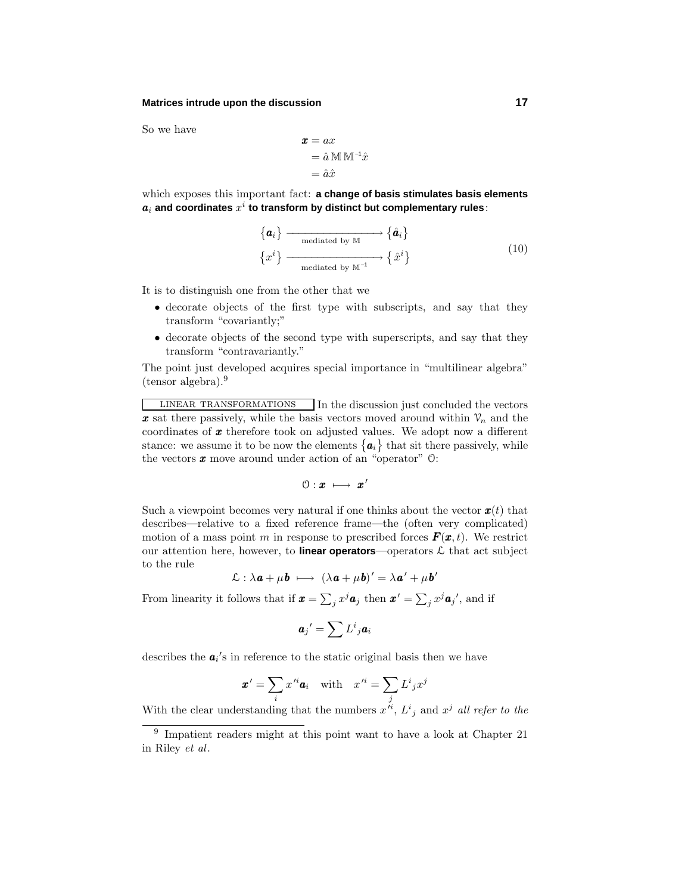#### **Matrices intrude upon the discussion 17**

So we have

$$
\begin{aligned} \mathbf{x} &= ax \\ &= \hat{a} \mathbb{M} \mathbb{M}^{-1} \hat{x} \\ &= \hat{a} \hat{x} \end{aligned}
$$

which exposes this important fact: **a change of basis stimulates basis elements**  $a_i$  and coordinates  $x^i$  to transform by distinct but complementary rules:

$$
\left\{ \boldsymbol{a}_{i} \right\} \xrightarrow{\text{mediated by } \mathbb{M}} \left\{ \hat{\boldsymbol{a}}_{i} \right\} \xrightarrow{\text{mediated by } \mathbb{M}^{-1}} \left\{ \hat{x}^{i} \right\}
$$
\n
$$
(10)
$$

It is to distinguish one from the other that we

- decorate objects of the first type with subscripts, and say that they transform "covariantly;"
- decorate objects of the second type with superscripts, and say that they transform "contravariantly."

The point just developed acquires special importance in "multilinear algebra" (tensor algebra).<sup>9</sup>

LINEAR TRANSFORMATIONS In the discussion just concluded the vectors x sat there passively, while the basis vectors moved around within  $V_n$  and the coordinates of *x* therefore took on adjusted values. We adopt now a different stance: we assume it to be now the elements  $\{a_i\}$  that sit there passively, while the vectors *x* move around under action of an "operator" O:

$$
\textcircled{\scriptsize{1}}: \textbf{x} \ \longmapsto \ \textbf{x'}
$$

Such a viewpoint becomes very natural if one thinks about the vector  $x(t)$  that describes—relative to a fixed reference frame—the (often very complicated) motion of a mass point *m* in response to prescribed forces  $\mathbf{F}(\mathbf{x},t)$ . We restrict our attention here, however, to **linear operators**—operators  $\mathcal{L}$  that act subject to the rule

$$
\mathcal{L} : \lambda \mathbf{a} + \mu \mathbf{b} \ \longmapsto \ (\lambda \mathbf{a} + \mu \mathbf{b})' = \lambda \mathbf{a}' + \mu \mathbf{b}'
$$

From linearity it follows that if  $\mathbf{x} = \sum_j x^j \mathbf{a}_j$  then  $\mathbf{x}' = \sum_j x^j \mathbf{a}_j'$ , and if

$$
\bm{a}_j{}' = \sum L^i{}_j \bm{a}_i
$$

describes the  $a_i$ 's in reference to the static original basis then we have

$$
\pmb{x}' = \sum_i x'^i \pmb{a}_i \quad \text{with} \quad x'^i = \sum_j L^i{}_j x^j
$$

With the clear understanding that the numbers  $x'^i$ ,  $L^i{}_j$  and  $x^j$  all refer to the

<sup>9</sup> Impatient readers might at this point want to have a look at Chapter 21 in Riley et al.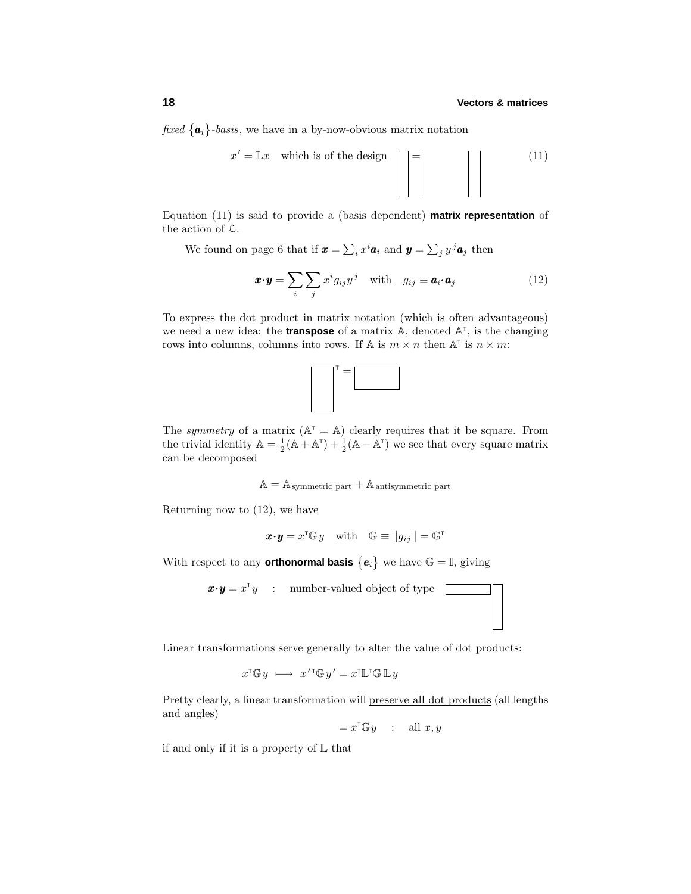fixed  ${a_i}$ -basis, we have in a by-now-obvious matrix notation



Equation (11) is said to provide a (basis dependent) **matrix representation** of the action of L.

We found on page 6 that if  $\mathbf{x} = \sum_i x^i \mathbf{a}_i$  and  $\mathbf{y} = \sum_j y^j \mathbf{a}_j$  then

$$
\boldsymbol{x} \cdot \boldsymbol{y} = \sum_{i} \sum_{j} x^{i} g_{ij} y^{j} \quad \text{with} \quad g_{ij} \equiv \boldsymbol{a}_{i} \cdot \boldsymbol{a}_{j} \tag{12}
$$

To express the dot product in matrix notation (which is often advantageous) we need a new idea: the **transpose** of a matrix  $\mathbb{A}$ , denoted  $\mathbb{A}^T$ , is the changing rows into columns, columns into rows. If  $\mathbb{A}$  is  $m \times n$  then  $\mathbb{A}^{\dagger}$  is  $n \times m$ :



The symmetry of a matrix  $(A^{\dagger} = A)$  clearly requires that it be square. From the trivial identity  $\mathbb{A} = \frac{1}{2}(\mathbb{A} + \mathbb{A}^T) + \frac{1}{2}(\mathbb{A} - \mathbb{A}^T)$  we see that every square matrix can be decomposed

 $A = A$ <sub>symmetric</sub> part +  $A$  antisymmetric part

Returning now to (12), we have

$$
\boldsymbol{x} \boldsymbol{\cdot} \boldsymbol{y} = x^{\mathsf{T}} \mathbb{G} y \quad \text{with} \quad \mathbb{G} \equiv \|g_{ij}\| = \mathbb{G}^{\mathsf{T}}
$$

With respect to any **orthonormal basis**  $\{e_i\}$  we have  $\mathbb{G} = \mathbb{I}$ , giving

 $\mathbf{x} \cdot \mathbf{y} = x^{\mathsf{T}} y$  : number-valued object of type  $\Box$ 

Linear transformations serve generally to alter the value of dot products:

$$
x^{\mathsf{T}} \mathbb{G} y \ \longmapsto \ x'^{\mathsf{T}} \mathbb{G} y' = x^{\mathsf{T}} \mathbb{L}^{\mathsf{T}} \mathbb{G} \mathbb{L} y
$$

Pretty clearly, a linear transformation will preserve all dot products (all lengths and angles)

$$
= x^{\mathsf{T}} \mathbb{G} y \quad : \quad \text{all } x, y
$$

if and only if it is a property of  $\mathbb L$  that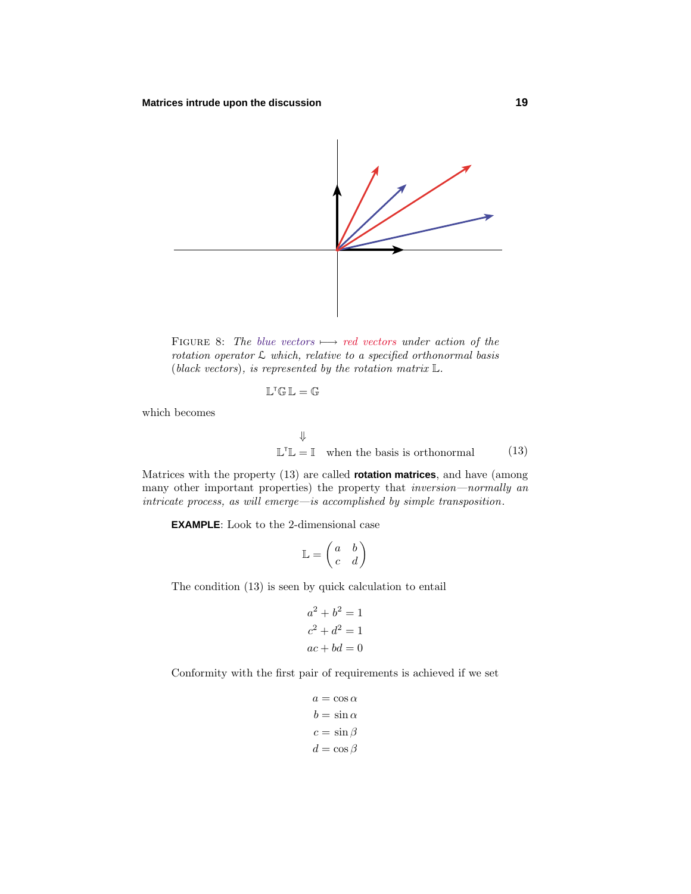

FIGURE 8: The blue vectors  $\longmapsto$  red vectors under action of the rotation operator  $\mathcal L$  which, relative to a specified orthonormal basis (black vectors), is represented by the rotation matrix  $\mathbb{L}$ .

$$
\mathbb{L}^\mathsf{T}\mathbb{G}\,\mathbb{L}=\mathbb{G}
$$

which becomes

$$
\Downarrow
$$
  

$$
\mathbb{L}^{\mathsf{T}}\mathbb{L} = \mathbb{I} \text{ when the basis is orthonormal} \tag{13}
$$

Matrices with the property (13) are called **rotation matrices**, and have (among many other important properties) the property that inversion—normally an  $\emph{intricate process, as will emerge—is accomplished by simple transposition.}$ 

**EXAMPLE**: Look to the 2-dimensional case

$$
\mathbb{L} = \begin{pmatrix} a & b \\ c & d \end{pmatrix}
$$

The condition (13) is seen by quick calculation to entail

$$
a2 + b2 = 1
$$

$$
c2 + d2 = 1
$$

$$
ac + bd = 0
$$

Conformity with the first pair of requirements is achieved if we set

$$
a = \cos \alpha
$$
  

$$
b = \sin \alpha
$$
  

$$
c = \sin \beta
$$
  

$$
d = \cos \beta
$$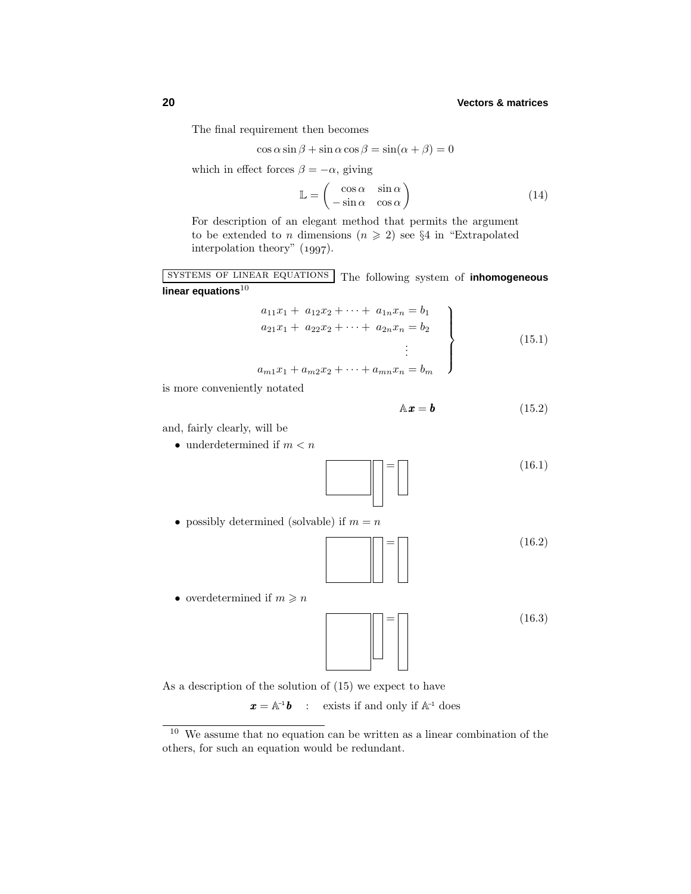# **20 Vectors & matrices**

The final requirement then becomes

$$
\cos \alpha \sin \beta + \sin \alpha \cos \beta = \sin(\alpha + \beta) = 0
$$

which in effect forces  $\beta = -\alpha$ , giving

$$
\mathbb{L} = \begin{pmatrix} \cos \alpha & \sin \alpha \\ -\sin \alpha & \cos \alpha \end{pmatrix}
$$
 (14)

For description of an elegant method that permits the argument to be extended to *n* dimensions  $(n \geq 2)$  see §4 in "Extrapolated" interpolation theory"  $(1997)$ .

systems of linear equations The following system of **inhomogeneous linear equations**<sup>10</sup>

$$
a_{11}x_1 + a_{12}x_2 + \cdots + a_{1n}x_n = b_1
$$
  
\n
$$
a_{21}x_1 + a_{22}x_2 + \cdots + a_{2n}x_n = b_2
$$
  
\n
$$
\vdots
$$
  
\n
$$
a_{m1}x_1 + a_{m2}x_2 + \cdots + a_{mn}x_n = b_m
$$
\n(15.1)

is more conveniently notated

$$
\mathbb{A}\mathbf{x} = \mathbf{b} \tag{15.2}
$$

and, fairly clearly, will be

 $\bullet\,$  under<br>determined if  $m < n$ 



• possibly determined (solvable) if  $m = n$ 



= (16*.*3)

= (16*.*2)

 $(16.1)$ 

As a description of the solution of (15) we expect to have

 $\mathbf{x} = \mathbb{A}^{-1} \mathbf{b}$  : exists if and only if  $\mathbb{A}^{-1}$  does

 $^{10}\,$  We assume that no equation can be written as a linear combination of the others, for such an equation would be redundant.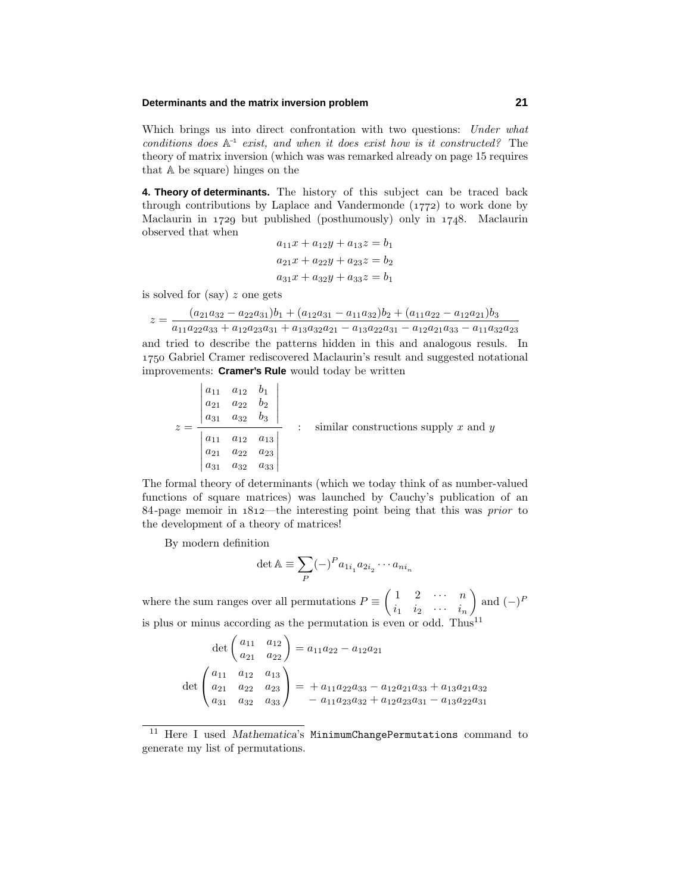# **Determinants and the matrix inversion problem 21**

Which brings us into direct confrontation with two questions: Under what conditions does  $A^{-1}$  exist, and when it does exist how is it constructed? The theory of matrix inversion (which was was remarked already on page 15 requires that A be square) hinges on the

**4. Theory of determinants.** The history of this subject can be traced back through contributions by Laplace and Vandermonde  $(1772)$  to work done by Maclaurin in  $1729$  but published (posthumously) only in  $1748$ . Maclaurin observed that when

$$
a_{11}x + a_{12}y + a_{13}z = b_1
$$
  
\n
$$
a_{21}x + a_{22}y + a_{23}z = b_2
$$
  
\n
$$
a_{31}x + a_{32}y + a_{33}z = b_1
$$

is solved for (say) *z* one gets

 $\sim$ 

$$
z = \frac{(a_{21}a_{32} - a_{22}a_{31})b_1 + (a_{12}a_{31} - a_{11}a_{32})b_2 + (a_{11}a_{22} - a_{12}a_{21})b_3}{a_{11}a_{22}a_{33} + a_{12}a_{23}a_{31} + a_{13}a_{32}a_{21} - a_{13}a_{22}a_{31} - a_{12}a_{21}a_{33} - a_{11}a_{32}a_{23}}
$$

and tried to describe the patterns hidden in this and analogous resuls. In Gabriel Cramer rediscovered Maclaurin's result and suggested notational improvements: **Cramer's Rule** would today be written

|  | $a_{11}$<br>$a_{21}$<br>$a_{31}$ | $a_{12}$ $b_1$<br>$a_{22}$<br>$a_{32}$ | O2<br>$v_3$                      |  |                                          |
|--|----------------------------------|----------------------------------------|----------------------------------|--|------------------------------------------|
|  | $a_{11}$<br>$a_{21}$<br>$a_{31}$ | $a_{12}$<br>$a_{22}$<br>$a_{32}$       | $a_{13}$<br>$a_{23}$<br>$a_{33}$ |  | similar constructions supply $x$ and $y$ |

The formal theory of determinants (which we today think of as number-valued functions of square matrices) was launched by Cauchy's publication of an 84-page memoir in  $1812$ —the interesting point being that this was *prior* to the development of a theory of matrices!

By modern definition

$$
\det \mathbb{A} \equiv \sum_P (-)^P a_{1i_1} a_{2i_2} \cdots a_{ni_n}
$$

where the sum ranges over all permutations  $P = \begin{pmatrix} 1 & 2 & \cdots & n \\ \vdots & \vdots & \ddots & \vdots \end{pmatrix}$  $i_1$   $i_2$   $\cdots$   $i_n$  $\Big)$  and  $(-)^F$ is plus or minus according as the permutation is even or odd. Thus<sup>11</sup>

$$
\det\begin{pmatrix} a_{11} & a_{12} \\ a_{21} & a_{22} \end{pmatrix} = a_{11}a_{22} - a_{12}a_{21}
$$

$$
\det\begin{pmatrix} a_{11} & a_{12} & a_{13} \\ a_{21} & a_{22} & a_{23} \\ a_{31} & a_{32} & a_{33} \end{pmatrix} = + a_{11}a_{22}a_{33} - a_{12}a_{21}a_{33} + a_{13}a_{21}a_{32}
$$

$$
- a_{11}a_{23}a_{32} + a_{12}a_{23}a_{31} - a_{13}a_{22}a_{31}
$$

<sup>&</sup>lt;sup>11</sup> Here I used *Mathematica*'s MinimumChangePermutations command to generate my list of permutations.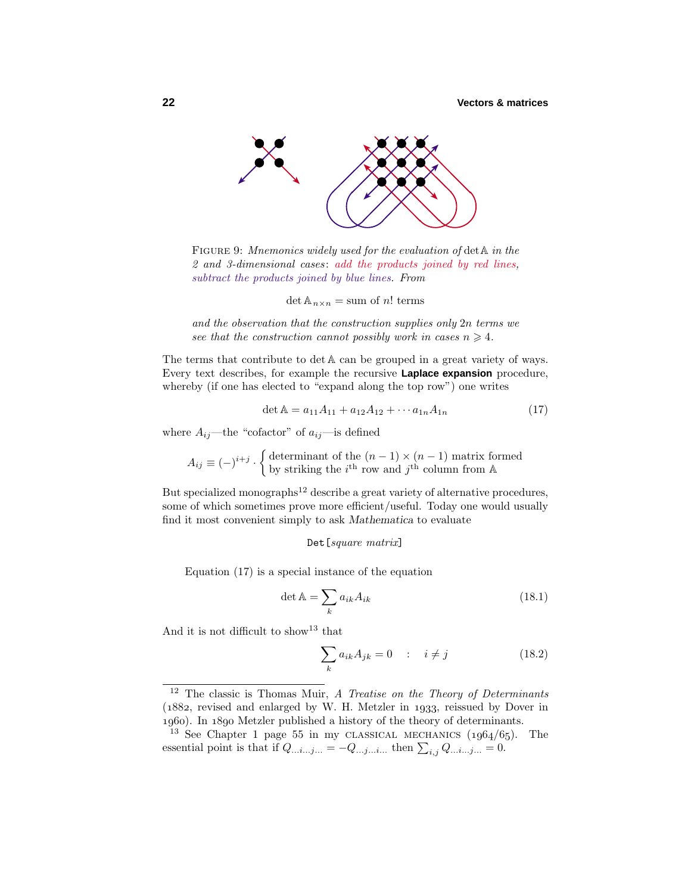

FIGURE 9: Mnemonics widely used for the evaluation of det  $A$  in the 2 and 3-dimensional cases: add the products joined by red lines, subtract the products joined by blue lines. From

 $\det A_{n \times n} = \text{sum of } n!$  terms

and the observation that the construction supplies only 2*n* terms we see that the construction cannot possibly work in cases  $n \geq 4$ .

The terms that contribute to det A can be grouped in a great variety of ways. Every text describes, for example the recursive **Laplace expansion** procedure, whereby (if one has elected to "expand along the top row") one writes

$$
\det \mathbb{A} = a_{11}A_{11} + a_{12}A_{12} + \cdots a_{1n}A_{1n} \tag{17}
$$

where  $A_{ij}$ —the "cofactor" of  $a_{ij}$ —is defined

 $A_{ij} \equiv (-)^{i+j} \cdot \begin{cases}$  determinant of the  $(n-1) \times (n-1)$  matrix formed by striking the  $i^{\text{th}}$  row and  $j^{\text{th}}$  column from A

But specialized monographs<sup>12</sup> describe a great variety of alternative procedures, some of which sometimes prove more efficient/useful. Today one would usually find it most convenient simply to ask *Mathematica* to evaluate

#### Det[square matrix]

Equation (17) is a special instance of the equation

$$
\det \mathbb{A} = \sum_{k} a_{ik} A_{ik} \tag{18.1}
$$

And it is not difficult to show<sup>13</sup> that

$$
\sum_{k} a_{ik} A_{jk} = 0 \quad : \quad i \neq j \tag{18.2}
$$

<sup>&</sup>lt;sup>12</sup> The classic is Thomas Muir, A Treatise on the Theory of Determinants  $(1882,$  revised and enlarged by W. H. Metzler in 1933, reissued by Dover in 1960). In 1890 Metzler published a history of the theory of determinants.

<sup>&</sup>lt;sup>13</sup> See Chapter 1 page 55 in my CLASSICAL MECHANICS  $(1964/65)$ . The essential point is that if  $Q_{...i...j...} = -Q_{...j...i...}$  then  $\sum_{i,j} Q_{...i...j...} = 0$ .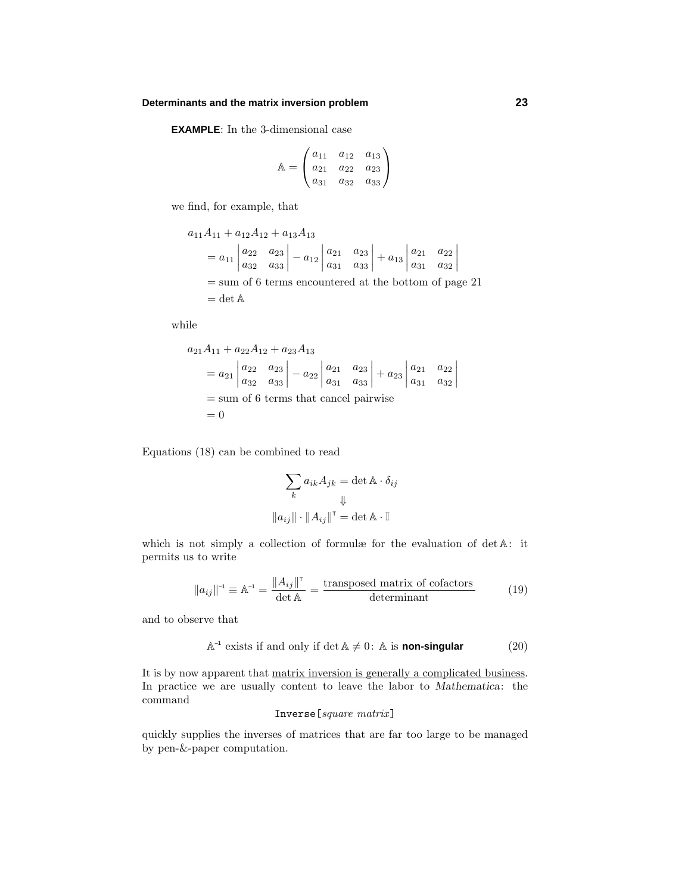# **Determinants and the matrix inversion problem 23**

**EXAMPLE**: In the 3-dimensional case

$$
\mathbb{A} = \begin{pmatrix} a_{11} & a_{12} & a_{13} \\ a_{21} & a_{22} & a_{23} \\ a_{31} & a_{32} & a_{33} \end{pmatrix}
$$

we find, for example, that

$$
a_{11}A_{11} + a_{12}A_{12} + a_{13}A_{13}
$$
  
=  $a_{11}\begin{vmatrix} a_{22} & a_{23} \\ a_{32} & a_{33} \end{vmatrix} - a_{12}\begin{vmatrix} a_{21} & a_{23} \\ a_{31} & a_{33} \end{vmatrix} + a_{13}\begin{vmatrix} a_{21} & a_{22} \\ a_{31} & a_{32} \end{vmatrix}$   
= sum of 6 terms encountered at the bottom of page 21  
= det A

while

$$
a_{21}A_{11} + a_{22}A_{12} + a_{23}A_{13}
$$
  
=  $a_{21}\begin{vmatrix} a_{22} & a_{23} \\ a_{32} & a_{33} \end{vmatrix} - a_{22}\begin{vmatrix} a_{21} & a_{23} \\ a_{31} & a_{33} \end{vmatrix} + a_{23}\begin{vmatrix} a_{21} & a_{22} \\ a_{31} & a_{32} \end{vmatrix}$   
= sum of 6 terms that cancel pairwise  
= 0

Equations (18) can be combined to read

$$
\sum_{k} a_{ik} A_{jk} = \det \mathbb{A} \cdot \delta_{ij}
$$

$$
\Downarrow
$$

$$
\|a_{ij}\| \cdot \|A_{ij}\|^{T} = \det \mathbb{A} \cdot \mathbb{I}
$$

which is not simply a collection of formulæ for the evaluation of det  $A$ : it permits us to write

$$
||a_{ij}||^{-1} \equiv \mathbb{A}^{-1} = \frac{||A_{ij}||^{T}}{\det \mathbb{A}} = \frac{\text{transposed matrix of cofactors}}{\text{determinant}} \tag{19}
$$

and to observe that

$$
\mathbb{A}^{-1} \text{ exists if and only if } \det \mathbb{A} \neq 0 \colon \mathbb{A} \text{ is non-singular} \tag{20}
$$

It is by now apparent that matrix inversion is generally a complicated business. In practice we are usually content to leave the labor to *Mathematica*: the command

# Inverse[square matrix]

quickly supplies the inverses of matrices that are far too large to be managed by pen-&-paper computation.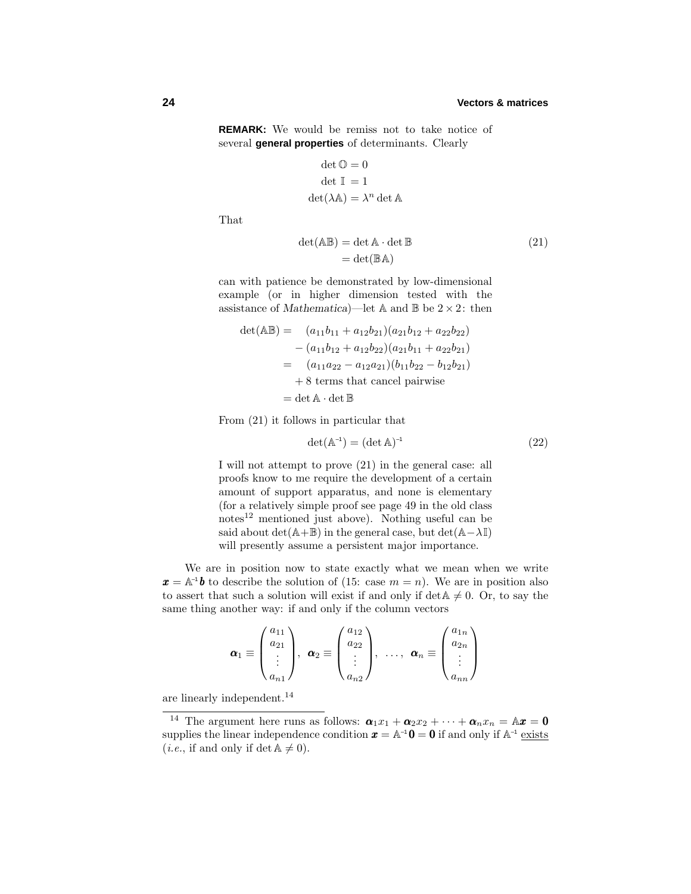# **24 Vectors & matrices**

**REMARK:** We would be remiss not to take notice of several **general properties** of determinants. Clearly

$$
\det \mathbb{O} = 0
$$
  
det  $\mathbb{I} = 1$   

$$
\det(\lambda \mathbb{A}) = \lambda^n \det \mathbb{A}
$$

That

$$
\det(\mathbb{AB}) = \det \mathbb{A} \cdot \det \mathbb{B}
$$
  
= 
$$
\det(\mathbb{BA})
$$
 (21)

can with patience be demonstrated by low-dimensional example (or in higher dimension tested with the assistance of *Mathematica*)—let A and B be  $2 \times 2$ : then

$$
det(\mathbb{AB}) = (a_{11}b_{11} + a_{12}b_{21})(a_{21}b_{12} + a_{22}b_{22})
$$
  
\n
$$
- (a_{11}b_{12} + a_{12}b_{22})(a_{21}b_{11} + a_{22}b_{21})
$$
  
\n
$$
= (a_{11}a_{22} - a_{12}a_{21})(b_{11}b_{22} - b_{12}b_{21})
$$
  
\n
$$
+ 8 \text{ terms that cancel pairwise}
$$
  
\n
$$
= det \mathbb{A} \cdot det \mathbb{B}
$$

From (21) it follows in particular that

$$
\det(\mathbb{A}^{-1}) = (\det \mathbb{A})^{-1} \tag{22}
$$

Iwill not attempt to prove (21) in the general case: all proofs know to me require the development of a certain amount of support apparatus, and none is elementary (for a relatively simple proof see page 49 in the old class  $\mu$ notes<sup>12</sup> mentioned just above). Nothing useful can be said about  $\det(A+\mathbb{B})$  in the general case, but  $\det(A-\lambda\mathbb{I})$ will presently assume a persistent major importance.

We are in position now to state exactly what we mean when we write  $x = A^{-1}b$  to describe the solution of (15: case  $m = n$ ). We are in position also to assert that such a solution will exist if and only if  $\det A \neq 0$ . Or, to say the same thing another way: if and only if the column vectors

$$
\boldsymbol{\alpha}_1 \equiv \begin{pmatrix} a_{11} \\ a_{21} \\ \vdots \\ a_{n1} \end{pmatrix}, \ \boldsymbol{\alpha}_2 \equiv \begin{pmatrix} a_{12} \\ a_{22} \\ \vdots \\ a_{n2} \end{pmatrix}, \ \ldots, \ \boldsymbol{\alpha}_n \equiv \begin{pmatrix} a_{1n} \\ a_{2n} \\ \vdots \\ a_{nn} \end{pmatrix}
$$

are linearly independent.<sup>14</sup>

<sup>&</sup>lt;sup>14</sup> The argument here runs as follows:  $\boldsymbol{\alpha}_1 x_1 + \boldsymbol{\alpha}_2 x_2 + \cdots + \boldsymbol{\alpha}_n x_n = \mathbb{A} \boldsymbol{x} = \boldsymbol{0}$ supplies the linear independence condition  $x = A^{-1}0 = 0$  if and only if  $A^{-1}$  exists (*i.e.*, if and only if  $\det A \neq 0$ ).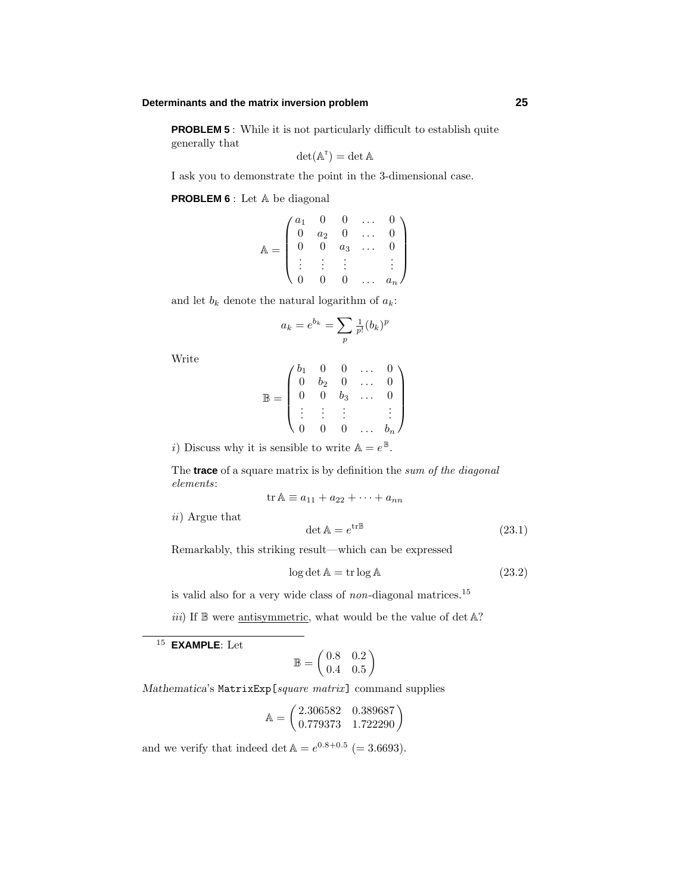# **Determinants and the matrix inversion problem 25**

**PROBLEM 5** : While it is not particularly difficult to establish quite generally that

$$
\det(\mathbb{A}^T) = \det \mathbb{A}
$$

Iask you to demonstrate the point in the 3-dimensional case.

**PROBLEM 6** : Let A be diagonal

$$
\mathbb{A} = \begin{pmatrix} a_1 & 0 & 0 & \dots & 0 \\ 0 & a_2 & 0 & \dots & 0 \\ 0 & 0 & a_3 & \dots & 0 \\ \vdots & \vdots & \vdots & & \vdots \\ 0 & 0 & 0 & \dots & a_n \end{pmatrix}
$$

and let  $b_k$  denote the natural logarithm of  $a_k$ :

$$
a_k = e^{b_k} = \sum_p \frac{1}{p!} (b_k)^p
$$

Write

$$
\mathbb{B} = \begin{pmatrix} b_1 & 0 & 0 & \dots & 0 \\ 0 & b_2 & 0 & \dots & 0 \\ 0 & 0 & b_3 & \dots & 0 \\ \vdots & \vdots & \vdots & & \vdots \\ 0 & 0 & 0 & \dots & b_n \end{pmatrix}
$$

i) Discuss why it is sensible to write  $\mathbb{A} = e^{\mathbb{B}}$ .

The **trace** of a square matrix is by definition the sum of the diagonal elements:

$$
\operatorname{tr} \mathbb{A} \equiv a_{11} + a_{22} + \cdots + a_{nn}
$$

ii) Argue that

$$
\det \mathbb{A} = e^{\text{tr}\mathbb{B}} \tag{23.1}
$$

Remarkably, this striking result—which can be expressed

$$
\log \det \mathbb{A} = \operatorname{tr} \log \mathbb{A} \tag{23.2}
$$

is valid also for a very wide class of  $non$ -diagonal matrices.<sup>15</sup>

iii) If  $\mathbb B$  were antisymmetric, what would be the value of det  $\mathbb A$ ?

<sup>15</sup> **EXAMPLE**: Let

$$
\mathbb{B} = \begin{pmatrix} 0.8 & 0.2 \\ 0.4 & 0.5 \end{pmatrix}
$$

*Mathematica*'s MatrixExp[square matrix] command supplies

$$
\mathbb{A} = \begin{pmatrix} 2.306582 & 0.389687 \\ 0.779373 & 1.722290 \end{pmatrix}
$$

and we verify that indeed det  $A = e^{0.8 + 0.5}$  (= 3.6693).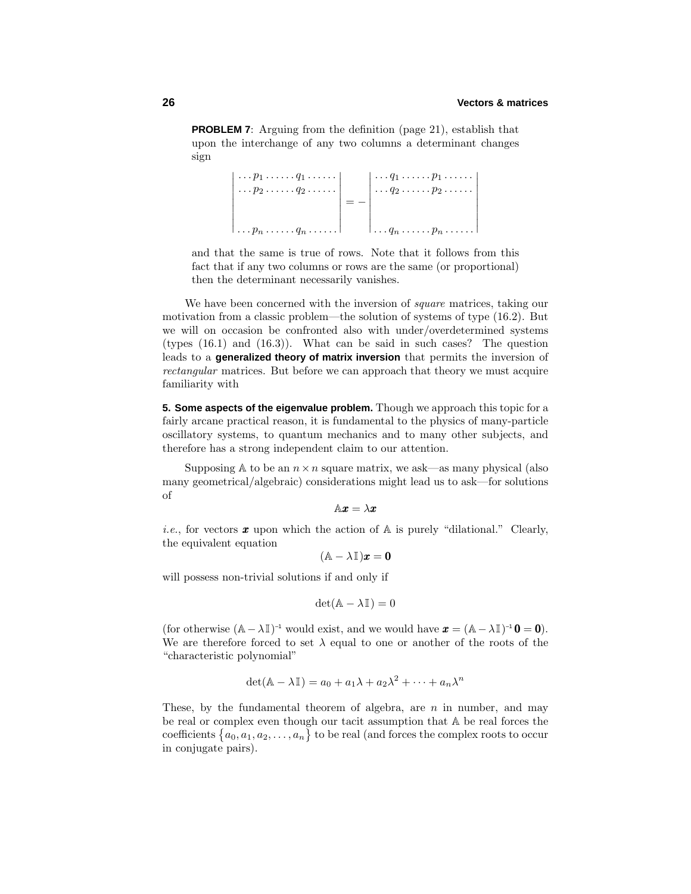**PROBLEM 7**: Arguing from the definition (page 21), establish that upon the interchange of any two columns a determinant changes sign

> *...p*<sup>1</sup> *......q*<sup>1</sup> *...... ...p*<sup>2</sup> *......q*<sup>2</sup> *...... ...p<sup>n</sup> ......q<sup>n</sup> ......* = − *...q*<sup>1</sup> *......p*<sup>1</sup> *...... ...q*<sup>2</sup> *......p*<sup>2</sup> *...... ...q<sup>n</sup> ......p<sup>n</sup> ......*

and that the same is true of rows. Note that it follows from this fact that if any two columns or rows are the same (or proportional) then the determinant necessarily vanishes.

We have been concerned with the inversion of *square* matrices, taking our motivation from a classic problem—the solution of systems of type (16.2). But we will on occasion be confronted also with under/overdetermined systems (types (16.1) and (16.3)). What can be said in such cases? The question leads to a **generalized theory of matrix inversion** that permits the inversion of rectangular matrices. But before we can approach that theory we must acquire familiarity with

**5. Some aspects of the eigenvalue problem.** Though we approach this topic for a fairly arcane practical reason, it is fundamental to the physics of many-particle oscillatory systems, to quantum mechanics and to many other subjects, and therefore has a strong independent claim to our attention.

Supposing  $\mathbb A$  to be an  $n \times n$  square matrix, we ask—as many physical (also many geometrical/algebraic) considerations might lead us to ask—for solutions of

 $A$ *x* =  $\lambda$ *x* 

*i.e.*, for vectors **x** upon which the action of  $\mathbb{A}$  is purely "dilational." Clearly, the equivalent equation

 $(A - \lambda \mathbb{I})x = 0$ 

will possess non-trivial solutions if and only if

$$
\det(\mathbb{A} - \lambda \mathbb{I}) = 0
$$

(for otherwise  $(A - \lambda I)^{-1}$  would exist, and we would have  $\mathbf{x} = (A - \lambda I)^{-1} \mathbf{0} = \mathbf{0}$ ). We are therefore forced to set  $\lambda$  equal to one or another of the roots of the "characteristic polynomial"

$$
\det(\mathbb{A} - \lambda \mathbb{I}) = a_0 + a_1 \lambda + a_2 \lambda^2 + \dots + a_n \lambda^n
$$

These, by the fundamental theorem of algebra, are *n* in number, and may be real or complex even though our tacit assumption that A be real forces the coefficients  $\{a_0, a_1, a_2, \ldots, a_n\}$  to be real (and forces the complex roots to occur in conjugate pairs).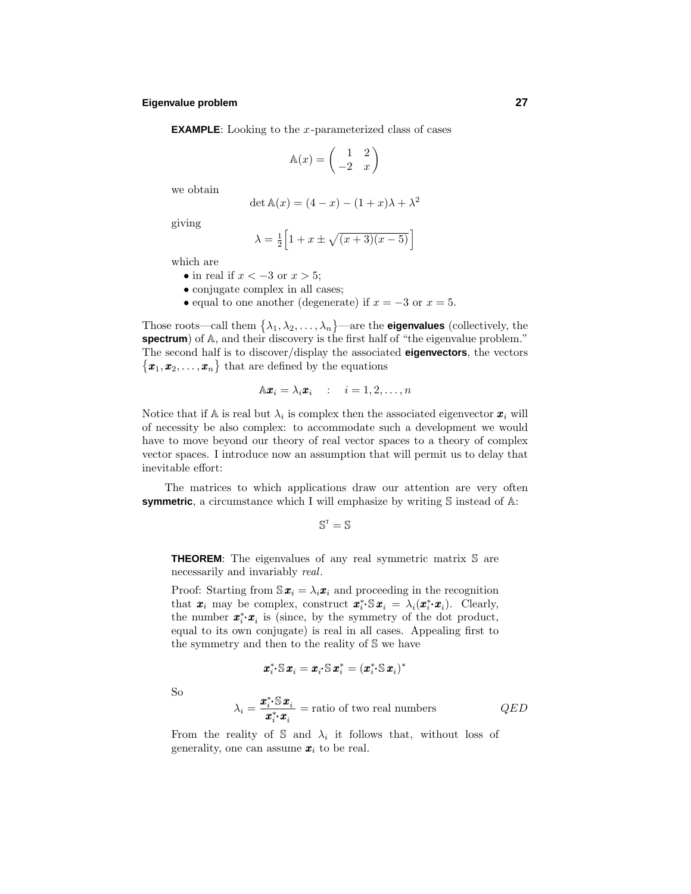# **Eigenvalue problem 27**

**EXAMPLE**: Looking to the *x*-parameterized class of cases

$$
\mathbb{A}(x) = \begin{pmatrix} 1 & 2 \\ -2 & x \end{pmatrix}
$$

we obtain

$$
\det \mathbb{A}(x) = (4 - x) - (1 + x)\lambda + \lambda^2
$$

giving

$$
\lambda = \frac{1}{2} \left[ 1 + x \pm \sqrt{(x+3)(x-5)} \right]
$$

which are

- in real if *x <* −3 or *x >* 5;
- conjugate complex in all cases;
- equal to one another (degenerate) if  $x = -3$  or  $x = 5$ .

Those roots—call them  $\{\lambda_1, \lambda_2, \ldots, \lambda_n\}$ —are the **eigenvalues** (collectively, the **spectrum**) of A, and their discovery is the first half of "the eigenvalue problem." The second half is to discover/display the associated **eigenvectors**, the vectors  ${x_1, x_2, \ldots, x_n}$  that are defined by the equations

$$
\mathbb{A}\boldsymbol{x}_i = \lambda_i \boldsymbol{x}_i \quad : \quad i = 1, 2, \dots, n
$$

Notice that if  $A$  is real but  $\lambda_i$  is complex then the associated eigenvector  $\boldsymbol{x}_i$  will of necessity be also complex: to accommodate such a development we would have to move beyond our theory of real vector spaces to a theory of complex vector spaces. I introduce now an assumption that will permit us to delay that inevitable effort:

The matrices to which applications draw our attention are very often **symmetric**, a circumstance which I will emphasize by writing S instead of A:

$$
\mathbb{S}^{\mathrm{T}}=\mathbb{S}
$$

**THEOREM**: The eigenvalues of any real symmetric matrix S are necessarily and invariably real.

Proof: Starting from  $\mathbb{S}x_i = \lambda_i x_i$  and proceeding in the recognition that  $\mathbf{x}_i$  may be complex, construct  $\mathbf{x}_i^* \mathbb{S} \mathbf{x}_i = \lambda_i(\mathbf{x}_i^* \cdot \mathbf{x}_i)$ . Clearly, the number  $\mathbf{x}^*_i \cdot \mathbf{x}_i$  is (since, by the symmetry of the dot product, equal to its own conjugate) is real in all cases. Appealing first to the symmetry and then to the reality of S we have

$$
\pmb{x}^*_i\text{-}\mathbb{S}\,\pmb{x}_i=\pmb{x}_i\text{-}\mathbb{S}\,\pmb{x}^*_i=(\pmb{x}^*_i\text{-}\mathbb{S}\,\pmb{x}_i)^*
$$

So

$$
\lambda_i = \frac{\boldsymbol{x}_i^* \cdot \mathbf{S} \boldsymbol{x}_i}{\boldsymbol{x}_i^* \cdot \boldsymbol{x}_i} = \text{ratio of two real numbers} \qquad QED
$$

From the reality of S and  $\lambda_i$  it follows that, without loss of generality, one can assume  $x_i$  to be real.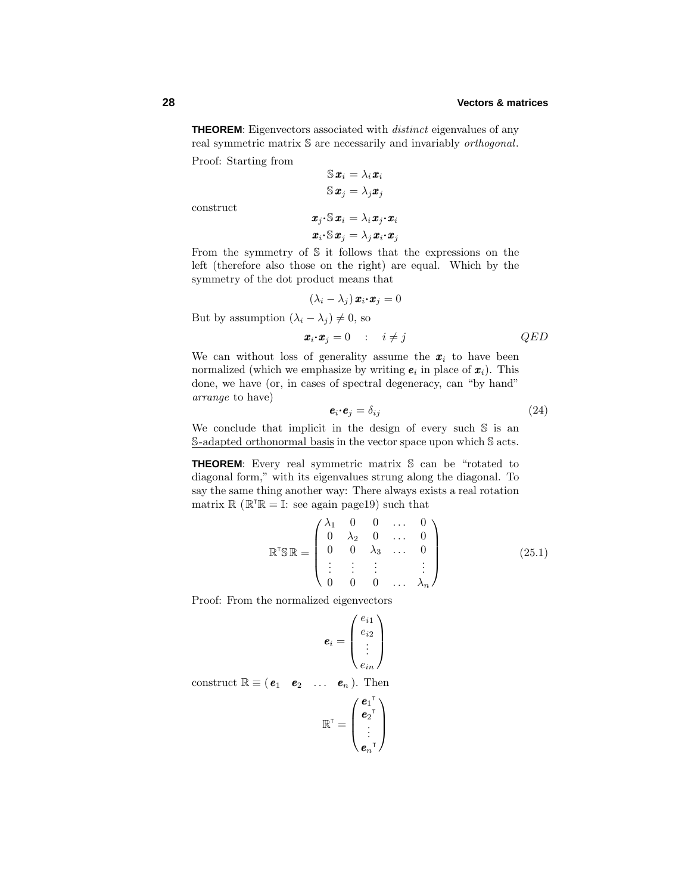# **28 Vectors & matrices**

**THEOREM:** Eigenvectors associated with *distinct* eigenvalues of any real symmetric matrix S are necessarily and invariably orthogonal.

Proof: Starting from

$$
\mathbb{S}\boldsymbol{x}_i = \lambda_i \boldsymbol{x}_i
$$

$$
\mathbb{S}\boldsymbol{x}_j = \lambda_j \boldsymbol{x}_j
$$

$$
\boldsymbol{x}_j \cdot \mathbb{S}\boldsymbol{x}_i = \lambda_i \boldsymbol{x}_j \cdot \boldsymbol{x}_i
$$

construct

$$
\bm{x}_i\!\cdot\!\mathbb{S}\,\bm{x}_j=\lambda_j\,\bm{x}_i\!\cdot\!\bm{x}_j
$$

From the symmetry of S it follows that the expressions on the left (therefore also those on the right) are equal. Which by the symmetry of the dot product means that

$$
(\lambda_i - \lambda_j) \mathbf{x}_i \cdot \mathbf{x}_j = 0
$$

But by assumption  $(\lambda_i - \lambda_j) \neq 0$ , so

$$
\boldsymbol{x}_i \cdot \boldsymbol{x}_j = 0 \qquad : \quad i \neq j \qquad QED
$$

We can without loss of generality assume the  $x_i$  to have been normalized (which we emphasize by writing  $e_i$  in place of  $x_i$ ). This done, we have (or, in cases of spectral degeneracy, can "by hand" arrange to have)

$$
\mathbf{e}_i \cdot \mathbf{e}_j = \delta_{ij} \tag{24}
$$

We conclude that implicit in the design of every such  $S$  is an S-adapted orthonormal basis in the vector space upon which S acts.

**THEOREM**: Every real symmetric matrix S can be "rotated to diagonal form," with its eigenvalues strung along the diagonal. To say the same thing another way: There always exists a real rotation matrix  $\mathbb{R} \left( \mathbb{R}^T \mathbb{R} = \mathbb{I}$ : see again page19) such that

$$
\mathbb{R}^{\mathsf{T}}\mathbb{S}\mathbb{R} = \begin{pmatrix} \lambda_1 & 0 & 0 & \dots & 0 \\ 0 & \lambda_2 & 0 & \dots & 0 \\ 0 & 0 & \lambda_3 & \dots & 0 \\ \vdots & \vdots & \vdots & & \vdots \\ 0 & 0 & 0 & \dots & \lambda_n \end{pmatrix}
$$
 (25.1)

Proof: From the normalized eigenvectors

$$
\bm{e}_i = \begin{pmatrix} e_{i1} \\ e_{i2} \\ \vdots \\ e_{in} \end{pmatrix}
$$

construct  $\mathbb{R} \equiv (\mathbf{e}_1 \quad \mathbf{e}_2 \quad \dots \quad \mathbf{e}_n)$ . Then

$$
\mathbb{R}^{\mathsf{T}} = \begin{pmatrix} \boldsymbol{e}_1^{\mathsf{T}} \\ \boldsymbol{e}_2^{\mathsf{T}} \\ \vdots \\ \boldsymbol{e}_n^{\mathsf{T}} \end{pmatrix}
$$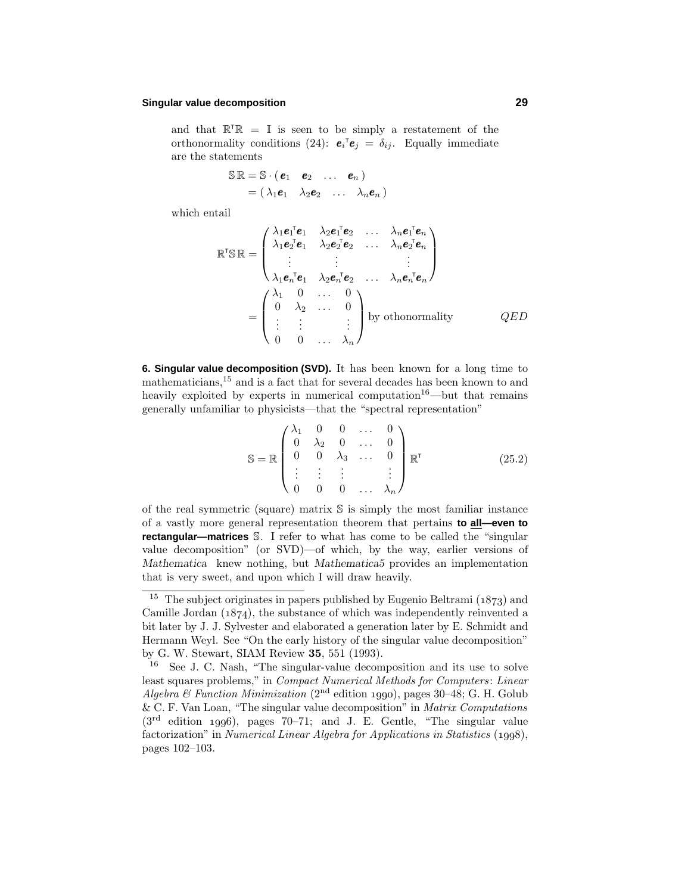# **Singular value decomposition 29**

and that  $\mathbb{R}^T \mathbb{R} = \mathbb{I}$  is seen to be simply a restatement of the orthonormality conditions (24):  $\mathbf{e}_i^{\mathsf{T}} \mathbf{e}_j = \delta_{ij}$ . Equally immediate are the statements

$$
\mathbb{S} \mathbb{R} = \mathbb{S} \cdot (\boldsymbol{e}_1 \quad \boldsymbol{e}_2 \quad \dots \quad \boldsymbol{e}_n) = (\lambda_1 \boldsymbol{e}_1 \quad \lambda_2 \boldsymbol{e}_2 \quad \dots \quad \lambda_n \boldsymbol{e}_n)
$$

which entail

$$
\mathbb{R}^{\mathsf{T}}\mathbb{S}\mathbb{R} = \begin{pmatrix}\n\lambda_1 e_1^{\mathsf{T}} e_1 & \lambda_2 e_1^{\mathsf{T}} e_2 & \dots & \lambda_n e_1^{\mathsf{T}} e_n \\
\lambda_1 e_2^{\mathsf{T}} e_1 & \lambda_2 e_2^{\mathsf{T}} e_2 & \dots & \lambda_n e_2^{\mathsf{T}} e_n \\
\vdots & \vdots & & \vdots \\
\lambda_1 e_n^{\mathsf{T}} e_1 & \lambda_2 e_n^{\mathsf{T}} e_2 & \dots & \lambda_n e_n^{\mathsf{T}} e_n\n\end{pmatrix}
$$
\n
$$
= \begin{pmatrix}\n\lambda_1 & 0 & \dots & 0 \\
0 & \lambda_2 & \dots & 0 \\
\vdots & \vdots & & \vdots \\
0 & 0 & \dots & \lambda_n\n\end{pmatrix}
$$
by othonormality QED

**6. Singular value decomposition (SVD).** It has been known for a long time to mathematicians,<sup>15</sup> and is a fact that for several decades has been known to and heavily exploited by experts in numerical computation<sup>16</sup>—but that remains generally unfamiliar to physicists—that the "spectral representation"

$$
\mathbb{S} = \mathbb{R} \begin{pmatrix} \lambda_1 & 0 & 0 & \dots & 0 \\ 0 & \lambda_2 & 0 & \dots & 0 \\ 0 & 0 & \lambda_3 & \dots & 0 \\ \vdots & \vdots & \vdots & & \vdots \\ 0 & 0 & 0 & \dots & \lambda_n \end{pmatrix} \mathbb{R}^{\mathsf{T}} \tag{25.2}
$$

of the real symmetric (square) matrix S is simply the most familiar instance of a vastly more general representation theorem that pertains **to all—even to rectangular—matrices** S. I refer to what has come to be called the "singular value decomposition" (or SVD)—of which, by the way, earlier versions of *Mathematica* knew nothing, but *Mathematica5* provides an implementation that is very sweet, and upon which I will draw heavily.

<sup>&</sup>lt;sup>15</sup> The subject originates in papers published by Eugenio Beltrami ( $1873$ ) and Camille Jordan  $(1874)$ , the substance of which was independently reinvented a bit later by J. J. Sylvester and elaborated a generation later by E. Schmidt and Hermann Weyl. See "On the early history of the singular value decomposition" by G. W. Stewart, SIAM Review **35**, 551 (1993).

<sup>16</sup> See J. C. Nash, "The singular-value decomposition and its use to solve least squares problems," in Compact Numerical Methods for Computers: Linear Algebra & Function Minimization (2<sup>nd</sup> edition 1990), pages 30–48; G. H. Golub & C. F. Van Loan, "The singular value decomposition" in Matrix Computations  $(3<sup>rd</sup>$  edition 1996), pages 70–71; and J. E. Gentle, "The singular value factorization" in Numerical Linear Algebra for Applications in Statistics  $(1998)$ , pages 102–103.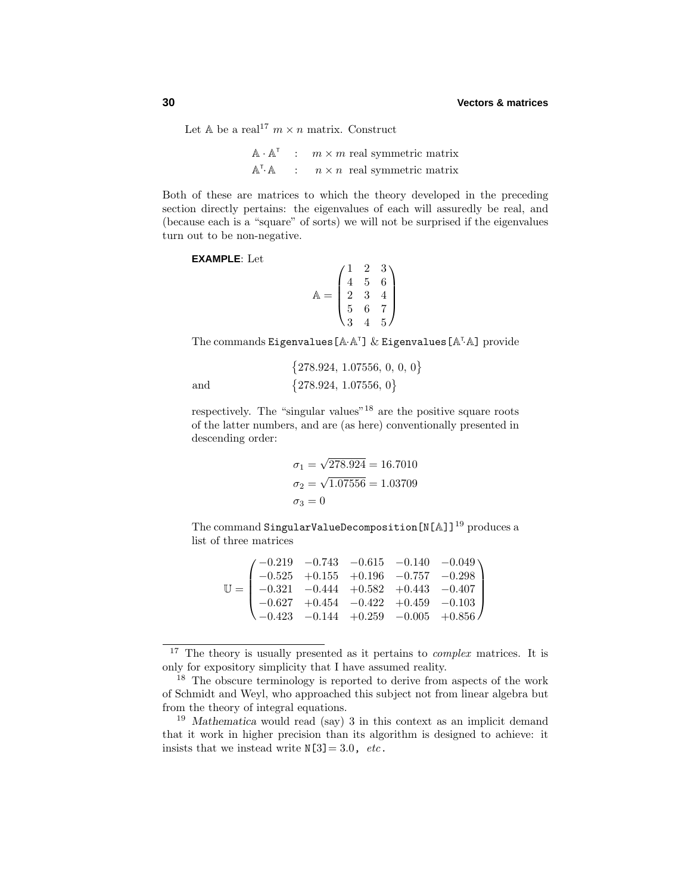Let  $\mathbb{A}$  be a real<sup>17</sup>  $m \times n$  matrix. Construct

 $\mathbb{A} \cdot \mathbb{A}^{\mathsf{T}}$  :  $m \times m$  real symmetric matrix  $A^T A$  $n \times n$  real symmetric matrix

Both of these are matrices to which the theory developed in the preceding section directly pertains: the eigenvalues of each will assuredly be real, and (because each is a "square" of sorts) we will not be surprised if the eigenvalues turn out to be non-negative.

**EXAMPLE**: Let

and

 $\mathbb{A} =$  $\sqrt{ }$  $\overline{\phantom{a}}$ 123 456 234 567 345  $\setminus$  $\Bigg\}$ 

The commands Eigenvalues [ $A \cdot A^{\dagger}$ ]  $\&$  Eigenvalues [ $A^{\dagger} \cdot A$ ] provide

$$
\{ 278.924, \, 1.07556, \, 0, \, 0, \, 0 \} \, \{ 278.924, \, 1.07556, \, 0 \}
$$

respectively. The "singular values"<sup>18</sup> are the positive square roots of the latter numbers, and are (as here) conventionally presented in descending order:

$$
\sigma_1 = \sqrt{278.924} = 16.7010
$$

$$
\sigma_2 = \sqrt{1.07556} = 1.03709
$$

$$
\sigma_3 = 0
$$

The command SingularValueDecomposition  $[N[A]]^{19}$  produces a list of three matrices

|  |  | $\mathbb{U} = \begin{pmatrix} -0.219 & -0.743 & -0.615 & -0.140 & -0.049 \\ -0.525 & +0.155 & +0.196 & -0.757 & -0.298 \\ -0.321 & -0.444 & +0.582 & +0.443 & -0.407 \\ -0.627 & +0.454 & -0.422 & +0.459 & -0.103 \\ -0.423 & -0.144 & +0.259 & -0.005 & +0.856 \end{pmatrix}$ |
|--|--|---------------------------------------------------------------------------------------------------------------------------------------------------------------------------------------------------------------------------------------------------------------------------------|

 $17$  The theory is usually presented as it pertains to *complex* matrices. It is only for expository simplicity that I have assumed reality.

<sup>&</sup>lt;sup>18</sup> The obscure terminology is reported to derive from aspects of the work of Schmidt and Weyl, who approached this subject not from linear algebra but from the theory of integral equations.

<sup>&</sup>lt;sup>19</sup> Mathematica would read (say) 3 in this context as an implicit demand that it work in higher precision than its algorithm is designed to achieve: it insists that we instead write  $N[3] = 3.0$ , etc.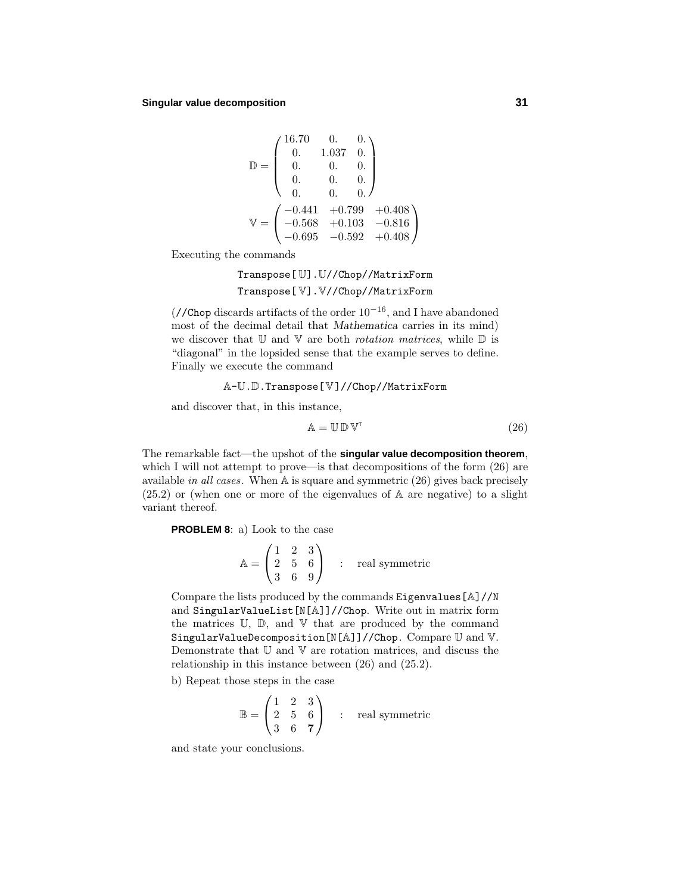$$
\mathbb{D} = \begin{pmatrix} 16.70 & 0. & 0. \\ 0. & 1.037 & 0. \\ 0. & 0. & 0. \\ 0. & 0. & 0. \\ 0. & 0. & 0. \end{pmatrix}
$$

$$
\mathbb{V} = \begin{pmatrix} -0.441 & +0.799 & +0.408 \\ -0.568 & +0.103 & -0.816 \\ -0.695 & -0.592 & +0.408 \end{pmatrix}
$$

Executing the commands

Transpose[ U].U//Chop//MatrixForm Transpose[ V].V//Chop//MatrixForm

(//Chop discards artifacts of the order  $10^{-16}$ , and I have abandoned most of the decimal detail that *Mathematica* carries in its mind) we discover that  $\mathbb U$  and  $\mathbb V$  are both *rotation matrices*, while  $\mathbb D$  is "diagonal" in the lopsided sense that the example serves to define. Finally we execute the command

#### A-U.D.Transpose[V]//Chop//MatrixForm

and discover that, in this instance,

$$
\mathbb{A} = \mathbb{U} \mathbb{D} \mathbb{V}^{\mathsf{T}} \tag{26}
$$

The remarkable fact—the upshot of the **singular value decomposition theorem**, which I will not attempt to prove—is that decompositions of the form  $(26)$  are available in all cases. When A is square and symmetric (26) gives back precisely (25.2) or (when one or more of the eigenvalues of A are negative) to a slight variant thereof.

**PROBLEM 8**: a) Look to the case

$$
\mathbb{A} = \begin{pmatrix} 1 & 2 & 3 \\ 2 & 5 & 6 \\ 3 & 6 & 9 \end{pmatrix} \quad : \quad \text{real symmetric}
$$

Compare the lists produced by the commands Eigenvalues[A]//N and SingularValueList[N[A]]//Chop. Write out in matrix form the matrices  $\mathbb{U}$ ,  $\mathbb{D}$ , and  $\mathbb{V}$  that are produced by the command SingularValueDecomposition[N[A]]//Chop. Compare U and V. Demonstrate that U and V are rotation matrices, and discuss the relationship in this instance between (26) and (25.2).

b) Repeat those steps in the case

$$
\mathbb{B} = \begin{pmatrix} 1 & 2 & 3 \\ 2 & 5 & 6 \\ 3 & 6 & 7 \end{pmatrix} \quad : \quad \text{real symmetric}
$$

and state your conclusions.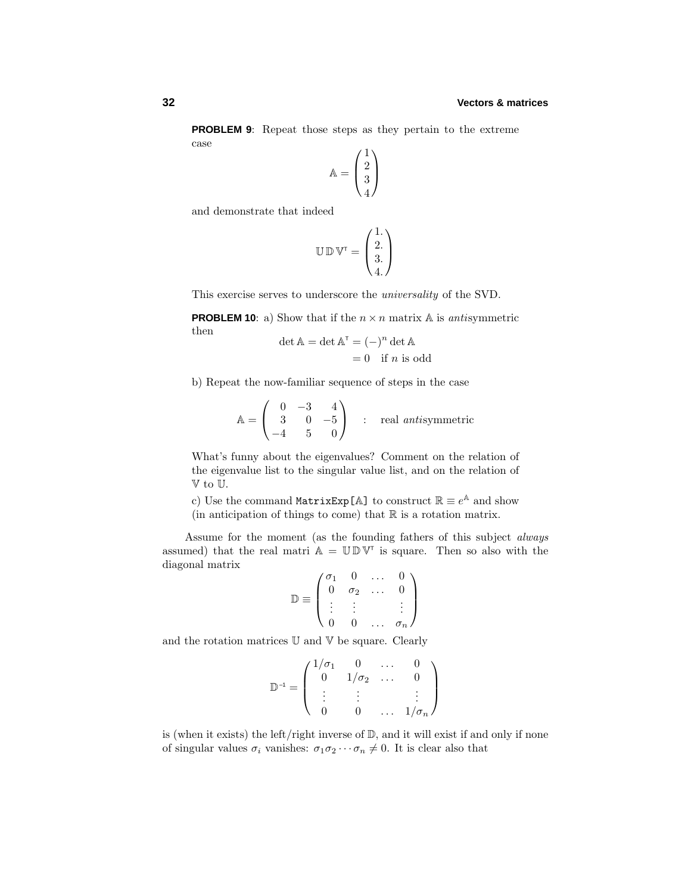**PROBLEM 9**: Repeat those steps as they pertain to the extreme case

$$
\mathbb{A} = \begin{pmatrix} 1 \\ 2 \\ 3 \\ 4 \end{pmatrix}
$$

and demonstrate that indeed

$$
\mathbb{U}\,\mathbb{D}\,\mathbb{V}^\intercal = \begin{pmatrix} 1.\\ 2.\\ 3.\\ 4. \end{pmatrix}
$$

This exercise serves to underscore the universality of the SVD.

**PROBLEM 10**: a) Show that if the  $n \times n$  matrix A is *antisymmetric* then

$$
\det \mathbb{A} = \det \mathbb{A}^{\mathsf{T}} = (-)^n \det \mathbb{A}
$$

$$
= 0 \quad \text{if } n \text{ is odd}
$$

b) Repeat the now-familiar sequence of steps in the case

$$
\mathbb{A} = \begin{pmatrix} 0 & -3 & 4 \\ 3 & 0 & -5 \\ -4 & 5 & 0 \end{pmatrix} \quad : \quad \text{real antisymmetric}
$$

What's funny about the eigenvalues? Comment on the relation of the eigenvalue list to the singular value list, and on the relation of V to U.

c) Use the command MatrixExp[A] to construct  $\mathbb{R} \equiv e^{\mathbb{A}}$  and show (in anticipation of things to come) that  $\mathbb R$  is a rotation matrix.

Assume for the moment (as the founding fathers of this subject always assumed) that the real matri  $\mathbb{A} = \mathbb{U} \mathbb{D} \mathbb{V}^{\mathsf{T}}$  is square. Then so also with the diagonal matrix

$$
\mathbb{D} \equiv \left( \begin{array}{cccc} \sigma_1 & 0 & \dots & 0 \\ 0 & \sigma_2 & \dots & 0 \\ \vdots & \vdots & & \vdots \\ 0 & 0 & \dots & \sigma_n \end{array} \right)
$$

and the rotation matrices  $\mathbb U$  and  $\mathbb V$  be square. Clearly

$$
\mathbb{D}^{-1} = \left( \begin{array}{cccc} 1/\sigma_1 & 0 & \ldots & 0 \\ 0 & 1/\sigma_2 & \ldots & 0 \\ \vdots & \vdots & & \vdots \\ 0 & 0 & \ldots & 1/\sigma_n \end{array} \right)
$$

is (when it exists) the left/right inverse of D, and it will exist if and only if none of singular values  $\sigma_i$  vanishes:  $\sigma_1 \sigma_2 \cdots \sigma_n \neq 0$ . It is clear also that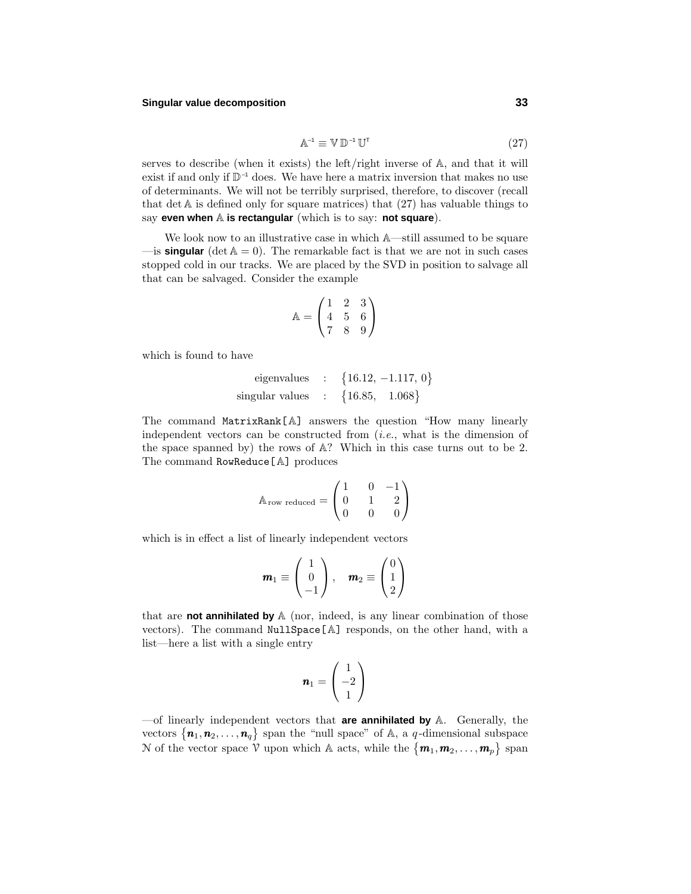# **Singular value decomposition 33**

$$
\mathbb{A}^{-1} \equiv \mathbb{V} \mathbb{D}^{-1} \mathbb{U}^{\mathsf{T}} \tag{27}
$$

serves to describe (when it exists) the left/right inverse of A, and that it will exist if and only if  $\mathbb{D}^{-1}$  does. We have here a matrix inversion that makes no use of determinants. We will not be terribly surprised, therefore, to discover (recall that det  $A$  is defined only for square matrices) that  $(27)$  has valuable things to say **even when** A is rectangular (which is to say: not square).

We look now to an illustrative case in which A—still assumed to be square  $\equiv$  is **singular** (det  $A = 0$ ). The remarkable fact is that we are not in such cases stopped cold in our tracks. We are placed by the SVD in position to salvage all that can be salvaged. Consider the example

$$
\mathbb{A} = \begin{pmatrix} 1 & 2 & 3 \\ 4 & 5 & 6 \\ 7 & 8 & 9 \end{pmatrix}
$$

which is found to have

eigenvalues : 
$$
\{16.12, -1.117, 0\}
$$
  
singular values :  $\{16.85, 1.068\}$ 

The command MatrixRank[A] answers the question "How many linearly independent vectors can be constructed from  $(i.e., what is the dimension of$ the space spanned by) the rows of A? Which in this case turns out to be 2. The command RowReduce[A] produces

$$
A_{\text{row reduced}} = \begin{pmatrix} 1 & 0 & -1 \\ 0 & 1 & 2 \\ 0 & 0 & 0 \end{pmatrix}
$$

which is in effect a list of linearly independent vectors

$$
\boldsymbol{m}_1 \equiv \begin{pmatrix} 1 \\ 0 \\ -1 \end{pmatrix}, \quad \boldsymbol{m}_2 \equiv \begin{pmatrix} 0 \\ 1 \\ 2 \end{pmatrix}
$$

that are **not annihilated by** A (nor, indeed, is any linear combination of those vectors). The command NullSpace[A] responds, on the other hand, with a list—here a list with a single entry

$$
\boldsymbol{n}_1 = \begin{pmatrix} 1 \\ -2 \\ 1 \end{pmatrix}
$$

—of linearly independent vectors that **are annihilated by** A. Generally, the vectors  $\{\boldsymbol{n}_1, \boldsymbol{n}_2, \ldots, \boldsymbol{n}_q\}$  span the "null space" of A, a *q*-dimensional subspace N of the vector space  $V$  upon which A acts, while the  $\{m_1, m_2, \ldots, m_p\}$  span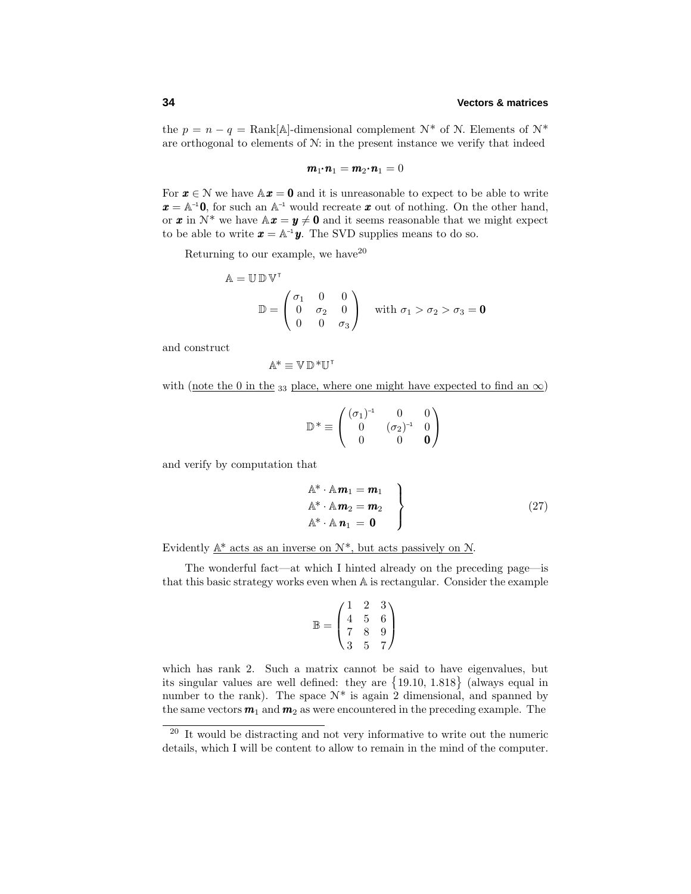the  $p = n - q = \text{Rank}[\mathbb{A}]$ -dimensional complement  $\mathcal{N}^*$  of  $\mathcal{N}$ . Elements of  $\mathcal{N}^*$ are orthogonal to elements of N: in the present instance we verify that indeed

$$
\boldsymbol{m}_1\!\!\boldsymbol{\cdot}\!\!\boldsymbol{n}_1=\boldsymbol{m}_2\!\!\boldsymbol{\cdot}\!\!\boldsymbol{n}_1=0
$$

For  $x \in \mathcal{N}$  we have  $\mathbb{A}x = 0$  and it is unreasonable to expect to be able to write  $x = A^{-1}0$ , for such an  $A^{-1}$  would recreate x out of nothing. On the other hand, or **x** in  $\mathcal{N}^*$  we have  $\mathbb{A}x = y \neq 0$  and it seems reasonable that we might expect to be able to write  $\mathbf{x} = \mathbb{A}^{-1} \mathbf{y}$ . The SVD supplies means to do so.

Returning to our example, we have  $20$ 

$$
\mathbb{A} = \mathbb{U} \mathbb{D} \mathbb{V}^{\mathsf{T}}
$$

$$
\mathbb{D} = \begin{pmatrix} \sigma_1 & 0 & 0 \\ 0 & \sigma_2 & 0 \\ 0 & 0 & \sigma_3 \end{pmatrix} \text{ with } \sigma_1 > \sigma_2 > \sigma_3 = \mathbf{0}
$$

and construct

$$
\mathbb{A}^*\equiv\mathbb{V}\,\mathbb{D}^*\mathbb{U}^\intercal
$$

with (note the 0 in the 33 place, where one might have expected to find an  $\infty$ )

$$
\mathbb{D}^* \equiv \begin{pmatrix} (\sigma_1)^{-1} & 0 & 0 \\ 0 & (\sigma_2)^{-1} & 0 \\ 0 & 0 & \mathbf{0} \end{pmatrix}
$$

and verify by computation that

$$
\begin{aligned}\n\mathbb{A}^* \cdot \mathbb{A} \mathbf{m}_1 &= \mathbf{m}_1 \\
\mathbb{A}^* \cdot \mathbb{A} \mathbf{m}_2 &= \mathbf{m}_2 \\
\mathbb{A}^* \cdot \mathbb{A} \mathbf{n}_1 &= \mathbf{0}\n\end{aligned}
$$
\n(27)

Evidently  $\mathbb{A}^*$  acts as an inverse on  $\mathcal{N}^*$ , but acts passively on  $\mathcal{N}$ .

The wonderful fact—at which I hinted already on the preceding page—is that this basic strategy works even when A is rectangular. Consider the example

$$
\mathbb{B} = \begin{pmatrix} 1 & 2 & 3 \\ 4 & 5 & 6 \\ 7 & 8 & 9 \\ 3 & 5 & 7 \end{pmatrix}
$$

which has rank 2. Such a matrix cannot be said to have eigenvalues, but its singular values are well defined: they are 19*.*10*,* 1*.*818 (always equal in number to the rank). The space  $N^*$  is again 2 dimensional, and spanned by the same vectors  $m_1$  and  $m_2$  as were encountered in the preceding example. The

<sup>&</sup>lt;sup>20</sup> It would be distracting and not very informative to write out the numeric details, which I will be content to allow to remain in the mind of the computer.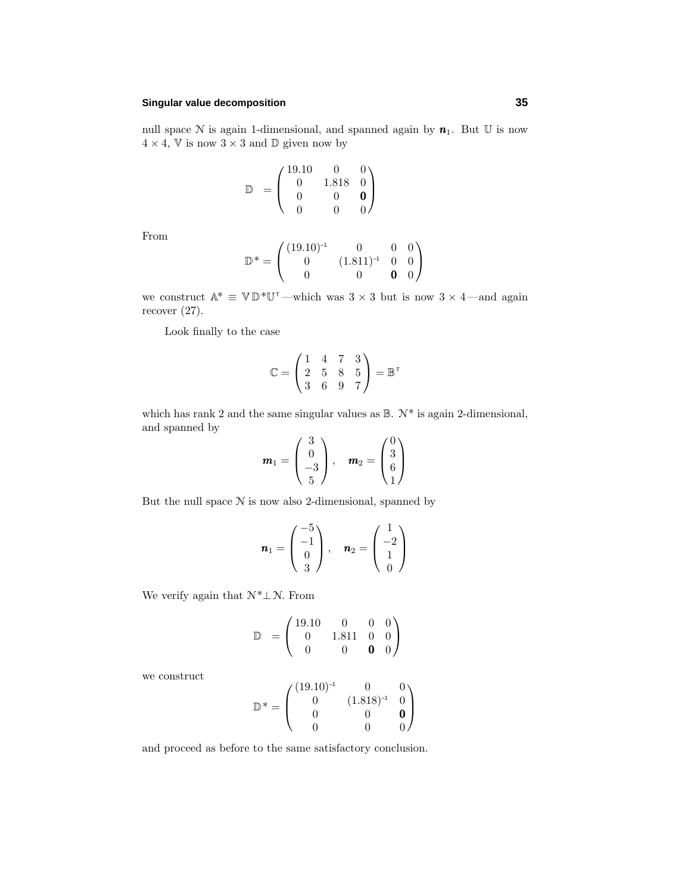# **Singular value decomposition 35**

null space  $N$  is again 1-dimensional, and spanned again by  $n_1$ . But  $U$  is now  $4 \times 4$ , V is now  $3 \times 3$  and D given now by

$$
\mathbb{D} = \begin{pmatrix} 19.10 & 0 & 0 \\ 0 & 1.818 & 0 \\ 0 & 0 & 0 \\ 0 & 0 & 0 \end{pmatrix}
$$

From

$$
\mathbb{D}^* = \begin{pmatrix} (19.10)^{-1} & 0 & 0 & 0 \\ 0 & (1.811)^{-1} & 0 & 0 \\ 0 & 0 & \mathbf{0} & 0 \end{pmatrix}
$$

we construct  $\mathbb{A}^* \equiv \mathbb{V} \mathbb{D}^* \mathbb{U}^{\mathsf{T}}$  —which was  $3 \times 3$  but is now  $3 \times 4$  —and again recover (27).

Look finally to the case

$$
\mathbb{C} = \begin{pmatrix} 1 & 4 & 7 & 3 \\ 2 & 5 & 8 & 5 \\ 3 & 6 & 9 & 7 \end{pmatrix} = \mathbb{B}^{\mathsf{T}}
$$

which has rank 2 and the same singular values as  $\mathbb{B}$ .  $\mathcal{N}^*$  is again 2-dimensional, and spanned by  $\overline{a}$  $\alpha$ 

$$
\boldsymbol{m}_1 = \begin{pmatrix} 3 \\ 0 \\ -3 \\ 5 \end{pmatrix}, \quad \boldsymbol{m}_2 = \begin{pmatrix} 0 \\ 3 \\ 6 \\ 1 \end{pmatrix}
$$

But the null space  $N$  is now also 2-dimensional, spanned by

$$
\mathbf{n}_1 = \begin{pmatrix} -5 \\ -1 \\ 0 \\ 3 \end{pmatrix}, \quad \mathbf{n}_2 = \begin{pmatrix} 1 \\ -2 \\ 1 \\ 0 \end{pmatrix}
$$

We verify again that  $\mathcal{N}^*\bot\mathcal{N}.$  From

$$
\mathbb{D} = \begin{pmatrix} 19.10 & 0 & 0 & 0 \\ 0 & 1.811 & 0 & 0 \\ 0 & 0 & \mathbf{0} & \mathbf{0} \end{pmatrix}
$$

we construct

$$
\mathbb{D}^* = \begin{pmatrix} (19.10)^{-1} & 0 & 0 \\ 0 & (1.818)^{-1} & 0 \\ 0 & 0 & \mathbf{0} \\ 0 & 0 & 0 \end{pmatrix}
$$

and proceed as before to the same satisfactory conclusion.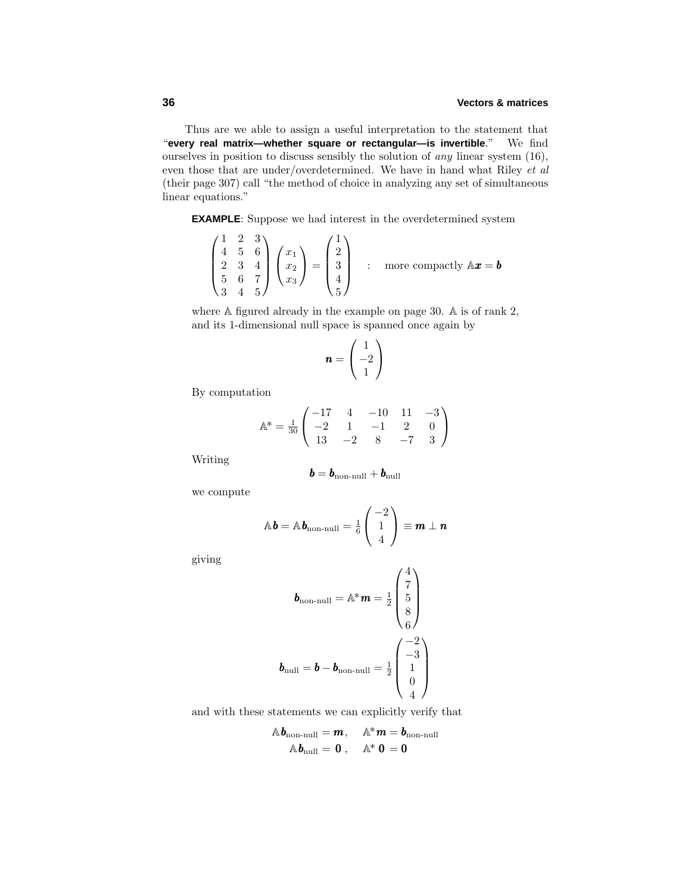Thus are we able to assign a useful interpretation to the statement that "**every real matrix—whether square or rectangular—is invertible**." We find ourselves in position to discuss sensibly the solution of any linear system (16), even those that are under/overdetermined. We have in hand what Riley et al (their page 307) call "the method of choice in analyzing any set of simultaneous linear equations."

**EXAMPLE**: Suppose we had interest in the overdetermined system

$$
\begin{pmatrix} 1 & 2 & 3 \ 4 & 5 & 6 \ 2 & 3 & 4 \ 5 & 6 & 7 \ 3 & 4 & 5 \end{pmatrix} \begin{pmatrix} x_1 \ x_2 \ x_3 \end{pmatrix} = \begin{pmatrix} 1 \ 2 \ 3 \ 4 \ 5 \end{pmatrix} \text{ : more compactly } A\mathbf{x} = \mathbf{b}
$$

where A figured already in the example on page 30. A is of rank 2, and its 1-dimensional null space is spanned once again by

$$
\mathbf{n} = \begin{pmatrix} 1 \\ -2 \\ 1 \end{pmatrix}
$$

By computation

$$
\mathbb{A}^* = \frac{1}{30} \begin{pmatrix} -17 & 4 & -10 & 11 & -3 \\ -2 & 1 & -1 & 2 & 0 \\ 13 & -2 & 8 & -7 & 3 \end{pmatrix}
$$

Writing

$$
\bm{b} = \bm{b}_{\text{non-null}} + \bm{b}_{\text{null}}
$$

we compute

$$
\mathbb{A}\mathbf{b} = \mathbb{A}\mathbf{b}_{\text{non-null}} = \frac{1}{6} \begin{pmatrix} -2 \\ 1 \\ 4 \end{pmatrix} \equiv \mathbf{m} \perp \mathbf{n}
$$

giving

$$
\boldsymbol{b}_{\text{non-null}} = \mathbb{A}^* \boldsymbol{m} = \frac{1}{2} \begin{pmatrix} 4 \\ 7 \\ 5 \\ 8 \\ 6 \end{pmatrix}
$$

$$
\boldsymbol{b}_{\text{null}} = \boldsymbol{b} - \boldsymbol{b}_{\text{non-null}} = \frac{1}{2} \begin{pmatrix} -2 \\ -3 \\ 1 \\ 0 \\ 4 \end{pmatrix}
$$

and with these statements we can explicitly verify that

$$
\mathbb{A}\mathbf{b}_{\text{non-null}} = \mathbf{m}, \quad \mathbb{A}^* \mathbf{m} = \mathbf{b}_{\text{non-null}}
$$

$$
\mathbb{A}\mathbf{b}_{\text{null}} = \mathbf{0}, \quad \mathbb{A}^* \mathbf{0} = \mathbf{0}
$$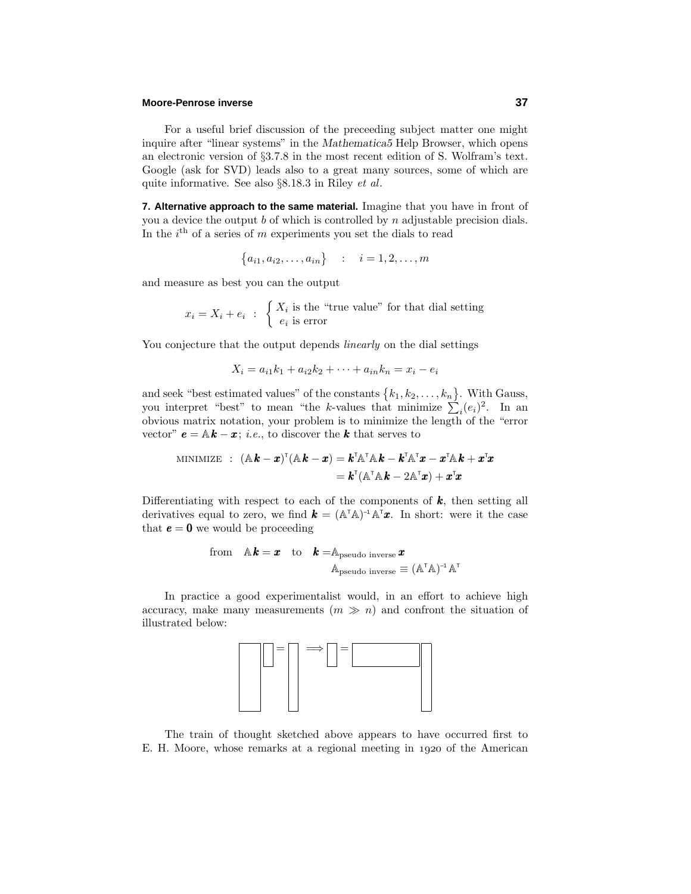# **Moore-Penrose inverse 37**

For a useful brief discussion of the preceeding subject matter one might inquire after "linear systems" in the *Mathematica5* Help Browser, which opens an electronic version of §3.7.8 in the most recent edition of S. Wolfram's text. Google (ask for SVD) leads also to a great many sources, some of which are quite informative. See also §8.18.3 in Riley et al.

**7. Alternative approach to the same material.** Imagine that you have in front of you a device the output *b* of which is controlled by *n* adjustable precision dials. In the  $i^{\text{th}}$  of a series of  $m$  experiments you set the dials to read

$$
\{a_{i1}, a_{i2}, \dots, a_{in}\} \qquad i = 1, 2, \dots, m
$$

and measure as best you can the output

 $x_i = X_i + e_i$ :  $\begin{cases} X_i \text{ is the "true value" for that dial setting} \\ 0 \text{ is error} \end{cases}$ *e<sup>i</sup>* is error

You conjecture that the output depends *linearly* on the dial settings

$$
X_i = a_{i1}k_1 + a_{i2}k_2 + \dots + a_{in}k_n = x_i - e_i
$$

and seek "best estimated values" of the constants  $\{k_1, k_2, \ldots, k_n\}$ . With Gauss, you interpret "best" to mean "the *k*-values that minimize  $\sum_{i}^{ } (e_i)^2$ . In an obvious matrix notation, your problem is to minimize the length of the "error vector"  $e = \mathbb{A}k - x$ ; *i.e.*, to discover the *k* that serves to

MINIMIZE : 
$$
(\mathbb{A}\mathbf{k} - \mathbf{x})^{\mathsf{T}}(\mathbb{A}\mathbf{k} - \mathbf{x}) = \mathbf{k}^{\mathsf{T}}\mathbb{A}^{\mathsf{T}}\mathbb{A}\mathbf{k} - \mathbf{k}^{\mathsf{T}}\mathbb{A}^{\mathsf{T}}\mathbf{x} - \mathbf{x}^{\mathsf{T}}\mathbb{A}\mathbf{k} + \mathbf{x}^{\mathsf{T}}\mathbf{x}
$$
  
=  $\mathbf{k}^{\mathsf{T}}(\mathbb{A}^{\mathsf{T}}\mathbb{A}\mathbf{k} - 2\mathbb{A}^{\mathsf{T}}\mathbf{x}) + \mathbf{x}^{\mathsf{T}}\mathbf{x}$ 

Differentiating with respect to each of the components of  $k$ , then setting all derivatives equal to zero, we find  $\mathbf{k} = (\mathbb{A}^T \mathbb{A})^{-1} \mathbb{A}^T \mathbf{x}$ . In short: were it the case that  $e = 0$  we would be proceeding

from 
$$
\mathbb{A}\mathbf{k} = \mathbf{x}
$$
 to  $\mathbf{k} = \mathbb{A}_{\text{pseudo inverse}} \mathbf{x}$   
\n $\mathbb{A}_{\text{pseudo inverse}} \equiv (\mathbb{A}^{\top} \mathbb{A})^{-1} \mathbb{A}^{\top}$ 

In practice a good experimentalist would, in an effort to achieve high accuracy, make many measurements  $(m \gg n)$  and confront the situation of illustrated below:



The train of thought sketched above appears to have occurred first to E. H. Moore, whose remarks at a regional meeting in 1920 of the American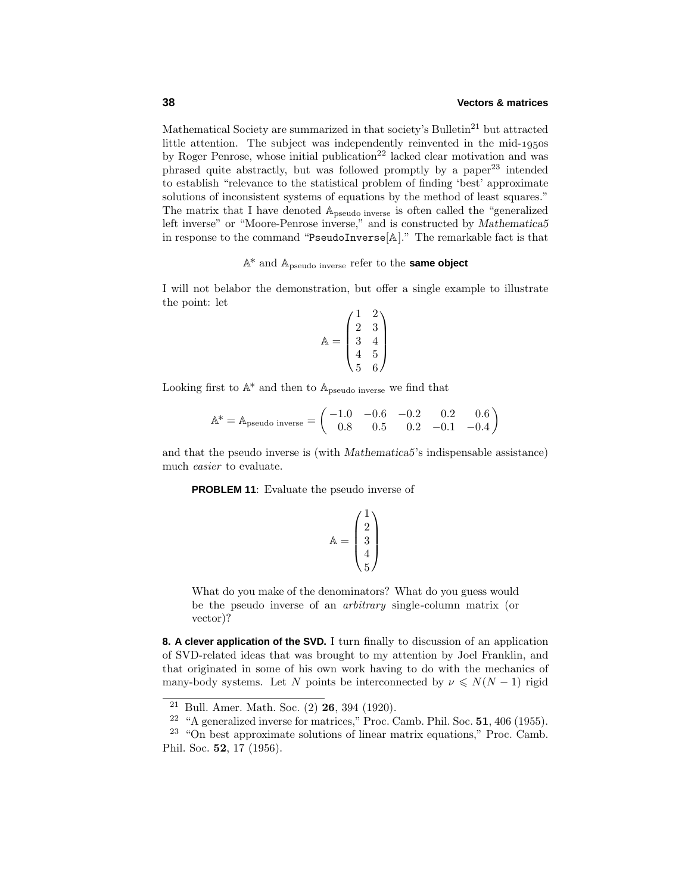Mathematical Society are summarized in that society's Bulletin<sup>21</sup> but attracted little attention. The subject was independently reinvented in the mid- $1950s$ by Roger Penrose, whose initial publication<sup>22</sup> lacked clear motivation and was phrased quite abstractly, but was followed promptly by a paper<sup>23</sup> intended to establish "relevance to the statistical problem of finding 'best' approximate solutions of inconsistent systems of equations by the method of least squares." The matrix that I have denoted Apseudo inverse is often called the "generalized left inverse" or "Moore-Penrose inverse," and is constructed by *Mathematica5* in response to the command "PseudoInverse[A]." The remarkable fact is that

# A\* and Apseudo inverse refer to the **same object**

I will not belabor the demonstration, but offer a single example to illustrate the point: let

$$
\mathbb{A} = \begin{pmatrix} 1 & 2 \\ 2 & 3 \\ 3 & 4 \\ 4 & 5 \\ 5 & 6 \end{pmatrix}
$$

Looking first to  $\mathbb{A}^*$  and then to  $\mathbb{A}_{pseudo\ inverse}$  we find that

$$
\mathbb{A}^* = \mathbb{A}_{\text{pseudo inverse}} = \begin{pmatrix} -1.0 & -0.6 & -0.2 & 0.2 & 0.6 \\ 0.8 & 0.5 & 0.2 & -0.1 & -0.4 \end{pmatrix}
$$

and that the pseudo inverse is (with *Mathematica5*'s indispensable assistance) much easier to evaluate.

**PROBLEM 11**: Evaluate the pseudo inverse of

$$
\mathbb{A} = \begin{pmatrix} 1 \\ 2 \\ 3 \\ 4 \\ 5 \end{pmatrix}
$$

What do you make of the denominators? What do you guess would be the pseudo inverse of an arbitrary single-column matrix (or vector)?

**8. A clever application of the SVD.** I turn finally to discussion of an application of SVD-related ideas that was brought to my attention by Joel Franklin, and that originated in some of his own work having to do with the mechanics of many-body systems. Let *N* points be interconnected by  $\nu \leq N(N-1)$  rigid

<sup>21</sup> Bull. Amer. Math. Soc. (2) **26**, 394 (1920).

<sup>22</sup> "A generalized inverse for matrices," Proc. Camb. Phil. Soc. **51**, 406 (1955).

 $23$  "On best approximate solutions of linear matrix equations," Proc. Camb. Phil. Soc. **52**, 17 (1956).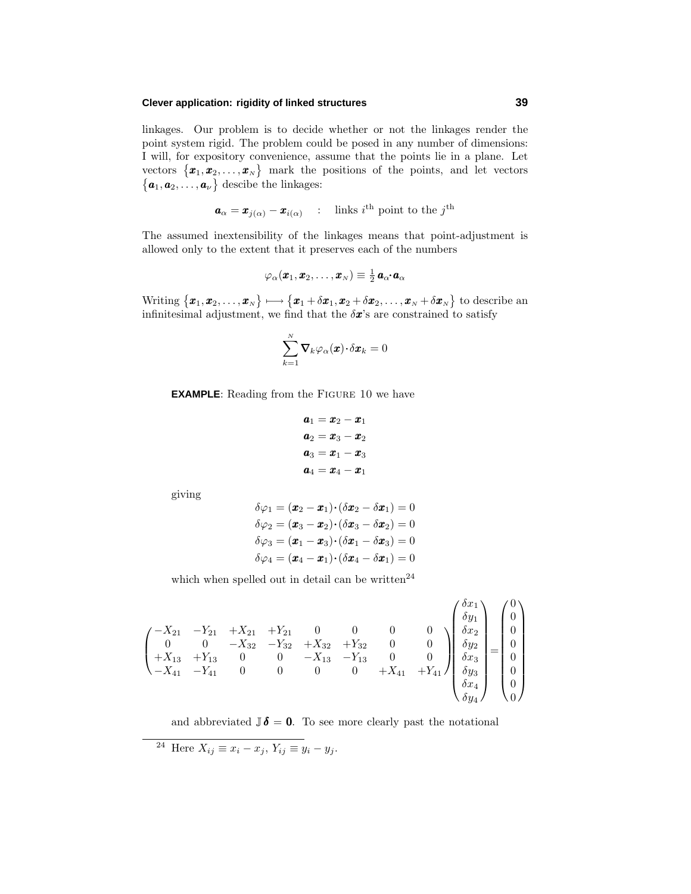# **Clever application: rigidity of linked structures 39**

linkages. Our problem is to decide whether or not the linkages render the point system rigid. The problem could be posed in any number of dimensions: I will, for expository convenience, assume that the points lie in a plane. Let vectors  $\{\boldsymbol{x}_1, \boldsymbol{x}_2, \dots, \boldsymbol{x}_N\}$  mark the positions of the points, and let vectors  $\{a_1, a_2, \ldots, a_\nu\}$  descibe the linkages:

$$
\boldsymbol{a}_{\alpha} = \boldsymbol{x}_{j(\alpha)} - \boldsymbol{x}_{i(\alpha)} \quad : \quad \text{links } i^{\text{th}} \text{ point to the } j^{\text{th}}
$$

The assumed inextensibility of the linkages means that point-adjustment is allowed only to the extent that it preserves each of the numbers

$$
\varphi_{\alpha}(\pmb{x}_1,\pmb{x}_2,\ldots,\pmb{x}_N)\equiv\tfrac{1}{2}\,\pmb{a}_{\alpha^*}\pmb{a}_{\alpha}
$$

 $\text{Writing } \{\boldsymbol{x}_1, \boldsymbol{x}_2, \dots, \boldsymbol{x}_N\} \longmapsto \{\boldsymbol{x}_1 + \delta \boldsymbol{x}_1, \boldsymbol{x}_2 + \delta \boldsymbol{x}_2, \dots, \boldsymbol{x}_N + \delta \boldsymbol{x}_N\} \text{ to describe an }$ infinitesimal adjustment, we find that the  $\delta x$ 's are constrained to satisfy

$$
\sum_{k=1}^N \boldsymbol{\nabla}_k \varphi_\alpha(\boldsymbol{x}) \!\cdot \! \delta \boldsymbol{x}_k = 0
$$

**EXAMPLE:** Reading from the FIGURE 10 we have

$$
\begin{aligned}\na_1 &= \boldsymbol{x}_2 - \boldsymbol{x}_1 \\
a_2 &= \boldsymbol{x}_3 - \boldsymbol{x}_2 \\
a_3 &= \boldsymbol{x}_1 - \boldsymbol{x}_3 \\
a_4 &= \boldsymbol{x}_4 - \boldsymbol{x}_1\n\end{aligned}
$$

giving

$$
\delta\varphi_1 = (\boldsymbol{x}_2 - \boldsymbol{x}_1) \cdot (\delta \boldsymbol{x}_2 - \delta \boldsymbol{x}_1) = 0
$$

$$
\delta\varphi_2 = (\boldsymbol{x}_3 - \boldsymbol{x}_2) \cdot (\delta \boldsymbol{x}_3 - \delta \boldsymbol{x}_2) = 0
$$

$$
\delta\varphi_3 = (\boldsymbol{x}_1 - \boldsymbol{x}_3) \cdot (\delta \boldsymbol{x}_1 - \delta \boldsymbol{x}_3) = 0
$$

$$
\delta\varphi_4 = (\boldsymbol{x}_4 - \boldsymbol{x}_1) \cdot (\delta \boldsymbol{x}_4 - \delta \boldsymbol{x}_1) = 0
$$

which when spelled out in detail can be written $^{24}$ 

$$
\begin{pmatrix}\n-X_{21} & -Y_{21} & +X_{21} & +Y_{21} & 0 & 0 & 0 & 0 \\
0 & 0 & -X_{32} & -Y_{32} & +X_{32} & +Y_{32} & 0 & 0 \\
+X_{13} & +Y_{13} & 0 & 0 & -X_{13} & -Y_{13} & 0 & 0 \\
-X_{41} & -Y_{41} & 0 & 0 & 0 & 0 & +X_{41} & +Y_{41}\n\end{pmatrix}\n\begin{pmatrix}\n\delta x_1 \\
\delta y_1 \\
\delta x_2 \\
\delta y_2 \\
\delta x_3 \\
\delta x_4 \\
\delta y_3 \\
\delta x_4 \\
0\n\end{pmatrix}\n=\n\begin{pmatrix}\n0 \\
0 \\
0 \\
0 \\
0 \\
0 \\
0 \\
0\n\end{pmatrix}
$$

*δx*<sup>1</sup>

 $\overline{\Omega}$ 

and abbreviated  $\mathbb{J}\delta = 0$ . To see more clearly past the notational

 $24 \text{ Here } X_{ij} \equiv x_i - x_j, Y_{ij} \equiv y_i - y_j.$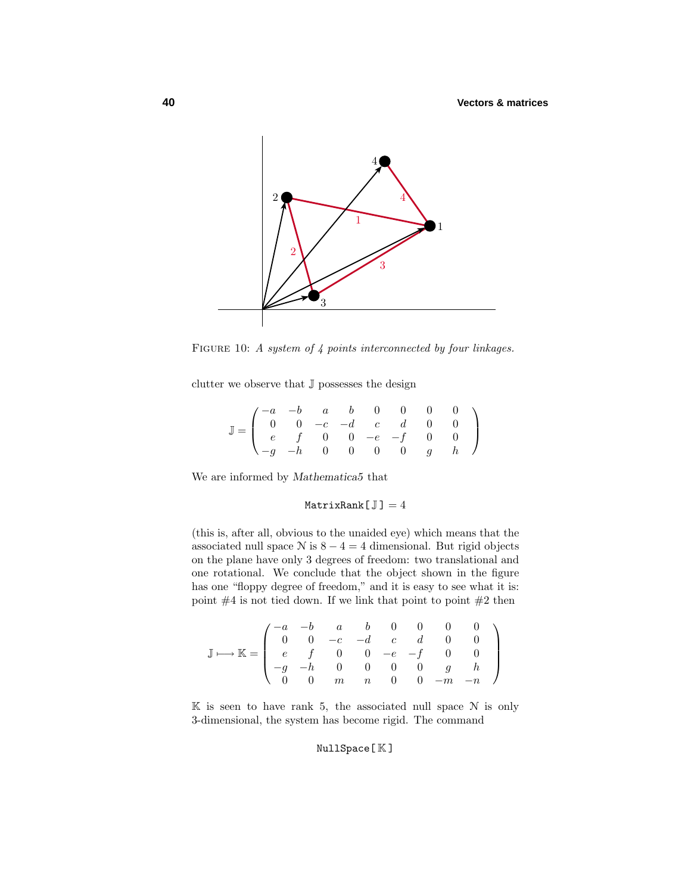

FIGURE 10: A system of 4 points interconnected by four linkages.

clutter we observe that  $\mathbb J$  possesses the design

| $\mathbb{J} = \left( \begin{array}{cccccc} -a & -b & a & b & 0 & 0 & 0 & 0 \\ 0 & 0 & -c & -d & c & d & 0 & 0 \\ e & f & 0 & 0 & -e & -f & 0 & 0 \\ -g & -h & 0 & 0 & 0 & 0 & g & h \end{array} \right)$ |  |  |  |  |  |
|----------------------------------------------------------------------------------------------------------------------------------------------------------------------------------------------------------|--|--|--|--|--|
|                                                                                                                                                                                                          |  |  |  |  |  |
|                                                                                                                                                                                                          |  |  |  |  |  |
|                                                                                                                                                                                                          |  |  |  |  |  |

We are informed by *Mathematica5* that

# MatrixRank $[J] = 4$

(this is, after all, obvious to the unaided eye) which means that the associated null space  $N$  is  $8 - 4 = 4$  dimensional. But rigid objects on the plane have only 3 degrees of freedom: two translational and one rotational. We conclude that the object shown in the figure has one "floppy degree of freedom," and it is easy to see what it is: point  $#4$  is not tied down. If we link that point to point  $#2$  then

$$
\mathbb{J} \longmapsto \mathbb{K} = \begin{pmatrix} -a & -b & a & b & 0 & 0 & 0 & 0 \\ 0 & 0 & -c & -d & c & d & 0 & 0 \\ e & f & 0 & 0 & -e & -f & 0 & 0 \\ -g & -h & 0 & 0 & 0 & 0 & g & h \\ 0 & 0 & m & n & 0 & 0 & -m & -n \end{pmatrix}
$$

 $\mathbb K$  is seen to have rank 5, the associated null space  $\mathcal N$  is only 3-dimensional, the system has become rigid. The command

# NullSpace[ K ]